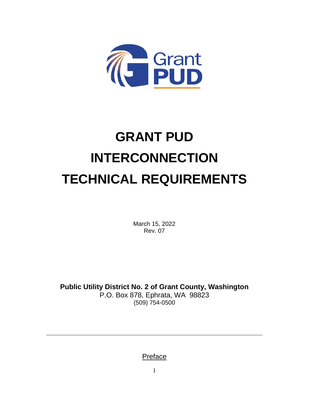

# **GRANT PUD INTERCONNECTION TECHNICAL REQUIREMENTS**

March 15, 2022 Rev. 07

**Public Utility District No. 2 of Grant County, Washington** P.O. Box 878, Ephrata, WA 98823 (509) 754-0500

Preface

**\_\_\_\_\_\_\_\_\_\_\_\_\_\_\_\_\_\_\_\_\_\_\_\_\_\_\_\_\_\_\_\_\_\_\_\_\_\_\_\_\_\_\_\_\_\_\_\_\_\_\_\_\_\_\_**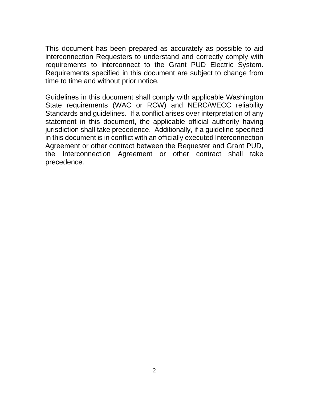This document has been prepared as accurately as possible to aid interconnection Requesters to understand and correctly comply with requirements to interconnect to the Grant PUD Electric System. Requirements specified in this document are subject to change from time to time and without prior notice.

Guidelines in this document shall comply with applicable Washington State requirements (WAC or RCW) and NERC/WECC reliability Standards and guidelines. If a conflict arises over interpretation of any statement in this document, the applicable official authority having jurisdiction shall take precedence. Additionally, if a guideline specified in this document is in conflict with an officially executed Interconnection Agreement or other contract between the Requester and Grant PUD, the Interconnection Agreement or other contract shall take precedence.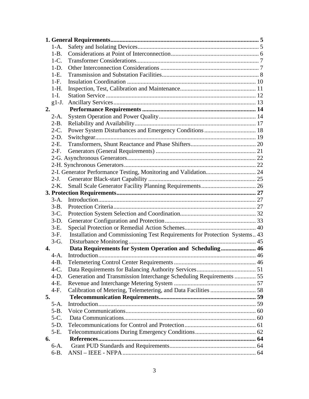| $1-A.$           |                                                                            |  |
|------------------|----------------------------------------------------------------------------|--|
| $1-B$ .          |                                                                            |  |
| $1-C$ .          |                                                                            |  |
| $1-D.$           |                                                                            |  |
| $1-E$ .          |                                                                            |  |
| $1-F.$           |                                                                            |  |
| $1-H.$           |                                                                            |  |
| $1-I.$           |                                                                            |  |
| $g1-J.$          |                                                                            |  |
| 2.               |                                                                            |  |
| $2-A.$           |                                                                            |  |
| $2-B.$           |                                                                            |  |
| $2-C.$           |                                                                            |  |
| $2-D.$           |                                                                            |  |
| $2-E$ .          |                                                                            |  |
| $2-F.$           |                                                                            |  |
|                  |                                                                            |  |
|                  |                                                                            |  |
|                  |                                                                            |  |
| $2-J$ .          |                                                                            |  |
| $2-K$ .          |                                                                            |  |
|                  |                                                                            |  |
| $3-A.$           |                                                                            |  |
| $3-B.$           |                                                                            |  |
| $3-C.$           |                                                                            |  |
| $3-D.$           |                                                                            |  |
| $3-E$ .          |                                                                            |  |
| $3-F.$           | Installation and Commissioning Test Requirements for Protection Systems 43 |  |
| $3-G.$           |                                                                            |  |
| $\overline{4}$ . | Data Requirements for System Operation and Scheduling 46                   |  |
| $4-A.$           |                                                                            |  |
| $4-B.$           |                                                                            |  |
| $4-C.$           |                                                                            |  |
| $4-D.$           | Generation and Transmission Interchange Scheduling Requirements  55        |  |
| 4-E.             |                                                                            |  |
| $4-F.$           | Calibration of Metering, Telemetering, and Data Facilities  58             |  |
| 5.               |                                                                            |  |
| $5-A.$           |                                                                            |  |
| $5-B.$           |                                                                            |  |
| $5-C$ .          |                                                                            |  |
| $5-D.$           |                                                                            |  |
| $5-E$ .          |                                                                            |  |
| 6.               |                                                                            |  |
| $6-A.$           |                                                                            |  |
| $6-B.$           |                                                                            |  |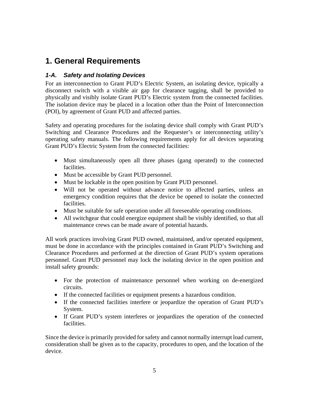# **1. General Requirements**

## *1-A. Safety and Isolating Devices*

For an interconnection to Grant PUD's Electric System, an isolating device, typically a disconnect switch with a visible air gap for clearance tagging, shall be provided to physically and visibly isolate Grant PUD's Electric system from the connected facilities. The isolation device may be placed in a location other than the Point of Interconnection (POI), by agreement of Grant PUD and affected parties.

Safety and operating procedures for the isolating device shall comply with Grant PUD's Switching and Clearance Procedures and the Requester's or interconnecting utility's operating safety manuals. The following requirements apply for all devices separating Grant PUD's Electric System from the connected facilities:

- Must simultaneously open all three phases (gang operated) to the connected facilities.
- Must be accessible by Grant PUD personnel.
- Must be lockable in the open position by Grant PUD personnel.
- Will not be operated without advance notice to affected parties, unless an emergency condition requires that the device be opened to isolate the connected facilities.
- Must be suitable for safe operation under all foreseeable operating conditions.
- All switchgear that could energize equipment shall be visibly identified, so that all maintenance crews can be made aware of potential hazards.

All work practices involving Grant PUD owned, maintained, and/or operated equipment, must be done in accordance with the principles contained in Grant PUD's Switching and Clearance Procedures and performed at the direction of Grant PUD's system operations personnel. Grant PUD personnel may lock the isolating device in the open position and install safety grounds:

- For the protection of maintenance personnel when working on de-energized circuits.
- If the connected facilities or equipment presents a hazardous condition.
- If the connected facilities interfere or jeopardize the operation of Grant PUD's System.
- If Grant PUD's system interferes or jeopardizes the operation of the connected facilities.

Since the device is primarily provided for safety and cannot normally interrupt load current, consideration shall be given as to the capacity, procedures to open, and the location of the device.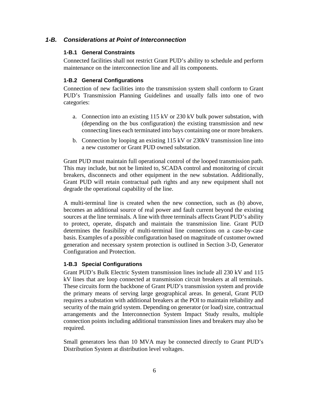#### *1-B. Considerations at Point of Interconnection*

#### **1-B.1 General Constraints**

Connected facilities shall not restrict Grant PUD's ability to schedule and perform maintenance on the interconnection line and all its components.

#### **1-B.2 General Configurations**

Connection of new facilities into the transmission system shall conform to Grant PUD's Transmission Planning Guidelines and usually falls into one of two categories:

- a. Connection into an existing 115 kV or 230 kV bulk power substation, with (depending on the bus configuration) the existing transmission and new connecting lines each terminated into bays containing one or more breakers.
- b. Connection by looping an existing 115 kV or 230kV transmission line into a new customer or Grant PUD owned substation.

Grant PUD must maintain full operational control of the looped transmission path. This may include, but not be limited to, SCADA control and monitoring of circuit breakers, disconnects and other equipment in the new substation. Additionally, Grant PUD will retain contractual path rights and any new equipment shall not degrade the operational capability of the line.

A multi-terminal line is created when the new connection, such as (b) above, becomes an additional source of real power and fault current beyond the existing sources at the line terminals. A line with three terminals affects Grant PUD's ability to protect, operate, dispatch and maintain the transmission line. Grant PUD determines the feasibility of multi-terminal line connections on a case-by-case basis. Examples of a possible configuration based on magnitude of customer owned generation and necessary system protection is outlined in Section 3-D, Generator Configuration and Protection.

#### **1-B.3 Special Configurations**

Grant PUD's Bulk Electric System transmission lines include all 230 kV and 115 kV lines that are loop connected at transmission circuit breakers at all terminals. These circuits form the backbone of Grant PUD's transmission system and provide the primary means of serving large geographical areas. In general, Grant PUD requires a substation with additional breakers at the POI to maintain reliability and security of the main grid system. Depending on generator (or load) size, contractual arrangements and the Interconnection System Impact Study results, multiple connection points including additional transmission lines and breakers may also be required.

Small generators less than 10 MVA may be connected directly to Grant PUD's Distribution System at distribution level voltages.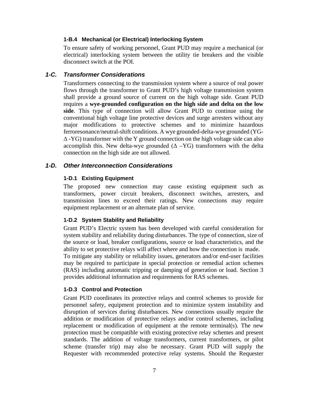#### **1-B.4 Mechanical (or Electrical) Interlocking System**

To ensure safety of working personnel, Grant PUD may require a mechanical (or electrical) interlocking system between the utility tie breakers and the visible disconnect switch at the POI.

#### *1-C. Transformer Considerations*

Transformers connecting to the transmission system where a source of real power flows through the transformer to Grant PUD's high voltage transmission system shall provide a ground source of current on the high voltage side. Grant PUD requires a **wye-grounded configuration on the high side and delta on the low side**. This type of connection will allow Grant PUD to continue using the conventional high voltage line protective devices and surge arresters without any major modifications to protective schemes and to minimize hazardous ferroresonance/neutral-shift conditions. A wye grounded-delta-wye grounded (YG-Δ -YG) transformer with the Y ground connection on the high voltage side can also accomplish this. New delta-wye grounded  $(Δ - YG)$  transformers with the delta connection on the high side are not allowed.

#### *1-D. Other Interconnection Considerations*

#### **1-D.1 Existing Equipment**

The proposed new connection may cause existing equipment such as transformers, power circuit breakers, disconnect switches, arresters, and transmission lines to exceed their ratings. New connections may require equipment replacement or an alternate plan of service.

#### **1-D.2 System Stability and Reliability**

Grant PUD's Electric system has been developed with careful consideration for system stability and reliability during disturbances. The type of connection, size of the source or load, breaker configurations, source or load characteristics, and the ability to set protective relays will affect where and how the connection is made. To mitigate any stability or reliability issues, generators and/or end-user facilities may be required to participate in special protection or remedial action schemes (RAS) including automatic tripping or damping of generation or load. Section 3 provides additional information and requirements for RAS schemes.

#### **1-D.3 Control and Protection**

Grant PUD coordinates its protective relays and control schemes to provide for personnel safety, equipment protection and to minimize system instability and disruption of services during disturbances. New connections usually require the addition or modification of protective relays and/or control schemes, including replacement or modification of equipment at the remote terminal(s). The new protection must be compatible with existing protective relay schemes and present standards. The addition of voltage transformers, current transformers, or pilot scheme (transfer trip) may also be necessary. Grant PUD will supply the Requester with recommended protective relay systems. Should the Requester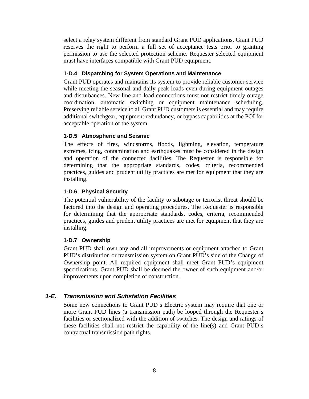select a relay system different from standard Grant PUD applications, Grant PUD reserves the right to perform a full set of acceptance tests prior to granting permission to use the selected protection scheme. Requester selected equipment must have interfaces compatible with Grant PUD equipment.

#### **1-D.4 Dispatching for System Operations and Maintenance**

Grant PUD operates and maintains its system to provide reliable customer service while meeting the seasonal and daily peak loads even during equipment outages and disturbances. New line and load connections must not restrict timely outage coordination, automatic switching or equipment maintenance scheduling. Preserving reliable service to all Grant PUD customers is essential and may require additional switchgear, equipment redundancy, or bypass capabilities at the POI for acceptable operation of the system.

#### **1-D.5 Atmospheric and Seismic**

The effects of fires, windstorms, floods, lightning, elevation, temperature extremes, icing, contamination and earthquakes must be considered in the design and operation of the connected facilities. The Requester is responsible for determining that the appropriate standards, codes, criteria, recommended practices, guides and prudent utility practices are met for equipment that they are installing.

#### **1-D.6 Physical Security**

The potential vulnerability of the facility to sabotage or terrorist threat should be factored into the design and operating procedures. The Requester is responsible for determining that the appropriate standards, codes, criteria, recommended practices, guides and prudent utility practices are met for equipment that they are installing.

#### **1-D.7 Ownership**

Grant PUD shall own any and all improvements or equipment attached to Grant PUD's distribution or transmission system on Grant PUD's side of the Change of Ownership point. All required equipment shall meet Grant PUD's equipment specifications. Grant PUD shall be deemed the owner of such equipment and/or improvements upon completion of construction.

#### *1-E. Transmission and Substation Facilities*

Some new connections to Grant PUD's Electric system may require that one or more Grant PUD lines (a transmission path) be looped through the Requester's facilities or sectionalized with the addition of switches. The design and ratings of these facilities shall not restrict the capability of the line(s) and Grant PUD's contractual transmission path rights.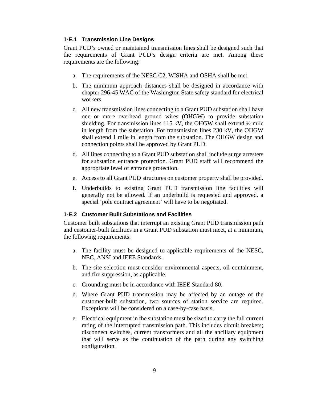#### **1-E.1 Transmission Line Designs**

Grant PUD's owned or maintained transmission lines shall be designed such that the requirements of Grant PUD's design criteria are met. Among these requirements are the following:

- a. The requirements of the NESC C2, WISHA and OSHA shall be met.
- b. The minimum approach distances shall be designed in accordance with chapter 296-45 WAC of the Washington State safety standard for electrical workers.
- c. All new transmission lines connecting to a Grant PUD substation shall have one or more overhead ground wires (OHGW) to provide substation shielding. For transmission lines 115 kV, the OHGW shall extend ½ mile in length from the substation. For transmission lines 230 kV, the OHGW shall extend 1 mile in length from the substation. The OHGW design and connection points shall be approved by Grant PUD.
- d. All lines connecting to a Grant PUD substation shall include surge arresters for substation entrance protection. Grant PUD staff will recommend the appropriate level of entrance protection.
- e. Access to all Grant PUD structures on customer property shall be provided.
- f. Underbuilds to existing Grant PUD transmission line facilities will generally not be allowed. If an underbuild is requested and approved, a special 'pole contract agreement' will have to be negotiated.

#### **1-E.2 Customer Built Substations and Facilities**

Customer built substations that interrupt an existing Grant PUD transmission path and customer-built facilities in a Grant PUD substation must meet, at a minimum, the following requirements:

- a. The facility must be designed to applicable requirements of the NESC, NEC, ANSI and IEEE Standards.
- b. The site selection must consider environmental aspects, oil containment, and fire suppression, as applicable.
- c. Grounding must be in accordance with IEEE Standard 80.
- d. Where Grant PUD transmission may be affected by an outage of the customer-built substation, two sources of station service are required. Exceptions will be considered on a case-by-case basis.
- e. Electrical equipment in the substation must be sized to carry the full current rating of the interrupted transmission path. This includes circuit breakers; disconnect switches, current transformers and all the ancillary equipment that will serve as the continuation of the path during any switching configuration.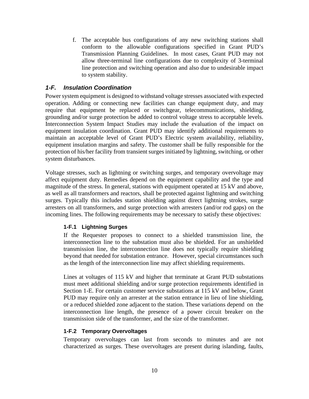f. The acceptable bus configurations of any new switching stations shall conform to the allowable configurations specified in Grant PUD's Transmission Planning Guidelines. In most cases, Grant PUD may not allow three-terminal line configurations due to complexity of 3-terminal line protection and switching operation and also due to undesirable impact to system stability.

## *1-F. Insulation Coordination*

Power system equipment is designed to withstand voltage stresses associated with expected operation. Adding or connecting new facilities can change equipment duty, and may require that equipment be replaced or switchgear, telecommunications, shielding, grounding and/or surge protection be added to control voltage stress to acceptable levels. Interconnection System Impact Studies may include the evaluation of the impact on equipment insulation coordination. Grant PUD may identify additional requirements to maintain an acceptable level of Grant PUD's Electric system availability, reliability, equipment insulation margins and safety. The customer shall be fully responsible for the protection of his/her facility from transient surges initiated by lightning, switching, or other system disturbances.

Voltage stresses, such as lightning or switching surges, and temporary overvoltage may affect equipment duty. Remedies depend on the equipment capability and the type and magnitude of the stress. In general, stations with equipment operated at 15 kV and above, as well as all transformers and reactors, shall be protected against lightning and switching surges. Typically this includes station shielding against direct lightning strokes, surge arresters on all transformers, and surge protection with arresters (and/or rod gaps) on the incoming lines. The following requirements may be necessary to satisfy these objectives:

#### **1-F.1 Lightning Surges**

If the Requester proposes to connect to a shielded transmission line, the interconnection line to the substation must also be shielded. For an unshielded transmission line, the interconnection line does not typically require shielding beyond that needed for substation entrance. However, special circumstances such as the length of the interconnection line may affect shielding requirements.

Lines at voltages of 115 kV and higher that terminate at Grant PUD substations must meet additional shielding and/or surge protection requirements identified in Section 1-E. For certain customer service substations at 115 kV and below, Grant PUD may require only an arrester at the station entrance in lieu of line shielding, or a reduced shielded zone adjacent to the station. These variations depend on the interconnection line length, the presence of a power circuit breaker on the transmission side of the transformer, and the size of the transformer.

#### **1-F.2 Temporary Overvoltages**

Temporary overvoltages can last from seconds to minutes and are not characterized as surges. These overvoltages are present during islanding, faults,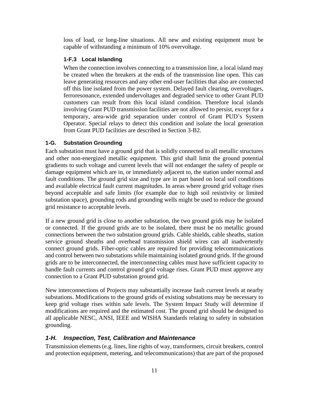loss of load, or long-line situations. All new and existing equipment must be capable of withstanding a minimum of 10% overvoltage.

## **1-F.3 Local Islanding**

When the connection involves connecting to a transmission line, a local island may be created when the breakers at the ends of the transmission line open. This can leave generating resources and any other end-user facilities that also are connected off this line isolated from the power system. Delayed fault clearing, overvoltages, ferroresonance, extended undervoltages and degraded service to other Grant PUD customers can result from this local island condition. Therefore local islands involving Grant PUD transmission facilities are not allowed to persist, except for a temporary, area-wide grid separation under control of Grant PUD's System Operator. Special relays to detect this condition and isolate the local generation from Grant PUD facilities are described in Section 3-B2.

#### **1-G. Substation Grounding**

Each substation must have a ground grid that is solidly connected to all metallic structures and other non-energized metallic equipment. This grid shall limit the ground potential gradients to such voltage and current levels that will not endanger the safety of people or damage equipment which are in, or immediately adjacent to, the station under normal and fault conditions. The ground grid size and type are in part based on local soil conditions and available electrical fault current magnitudes. In areas where ground grid voltage rises beyond acceptable and safe limits (for example due to high soil resistivity or limited substation space), grounding rods and grounding wells might be used to reduce the ground grid resistance to acceptable levels.

If a new ground grid is close to another substation, the two ground grids may be isolated or connected. If the ground grids are to be isolated, there must be no metallic ground connections between the two substation ground grids. Cable shields, cable sheaths, station service ground sheaths and overhead transmission shield wires can all inadvertently connect ground grids. Fiber-optic cables are required for providing telecommunications and control between two substations while maintaining isolated ground grids. If the ground grids are to be interconnected, the interconnecting cables must have sufficient capacity to handle fault currents and control ground grid voltage rises. Grant PUD must approve any connection to a Grant PUD substation ground grid.

New interconnections of Projects may substantially increase fault current levels at nearby substations. Modifications to the ground grids of existing substations may be necessary to keep grid voltage rises within safe levels. The System Impact Study will determine if modifications are required and the estimated cost. The ground grid should be designed to all applicable NESC, ANSI, IEEE and WISHA Standards relating to safety in substation grounding.

## *1-H. Inspection, Test, Calibration and Maintenance*

Transmission elements (e.g. lines, line rights of way, transformers, circuit breakers, control and protection equipment, metering, and telecommunications) that are part of the proposed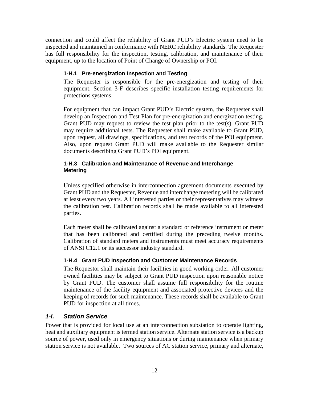connection and could affect the reliability of Grant PUD's Electric system need to be inspected and maintained in conformance with NERC reliability standards. The Requester has full responsibility for the inspection, testing, calibration, and maintenance of their equipment, up to the location of Point of Change of Ownership or POI.

## **1-H.1 Pre-energization Inspection and Testing**

The Requester is responsible for the pre-energization and testing of their equipment. Section 3-F describes specific installation testing requirements for protections systems.

For equipment that can impact Grant PUD's Electric system, the Requester shall develop an Inspection and Test Plan for pre-energization and energization testing. Grant PUD may request to review the test plan prior to the test(s). Grant PUD may require additional tests. The Requester shall make available to Grant PUD, upon request, all drawings, specifications, and test records of the POI equipment. Also, upon request Grant PUD will make available to the Requester similar documents describing Grant PUD's POI equipment.

#### **1-H.3 Calibration and Maintenance of Revenue and Interchange Metering**

Unless specified otherwise in interconnection agreement documents executed by Grant PUD and the Requester, Revenue and interchange metering will be calibrated at least every two years. All interested parties or their representatives may witness the calibration test. Calibration records shall be made available to all interested parties.

Each meter shall be calibrated against a standard or reference instrument or meter that has been calibrated and certified during the preceding twelve months. Calibration of standard meters and instruments must meet accuracy requirements of ANSI C12.1 or its successor industry standard.

#### **1-H.4 Grant PUD Inspection and Customer Maintenance Records**

The Requestor shall maintain their facilities in good working order. All customer owned facilities may be subject to Grant PUD inspection upon reasonable notice by Grant PUD. The customer shall assume full responsibility for the routine maintenance of the facility equipment and associated protective devices and the keeping of records for such maintenance. These records shall be available to Grant PUD for inspection at all times.

#### *1-I. Station Service*

Power that is provided for local use at an interconnection substation to operate lighting, heat and auxiliary equipment is termed station service. Alternate station service is a backup source of power, used only in emergency situations or during maintenance when primary station service is not available. Two sources of AC station service, primary and alternate,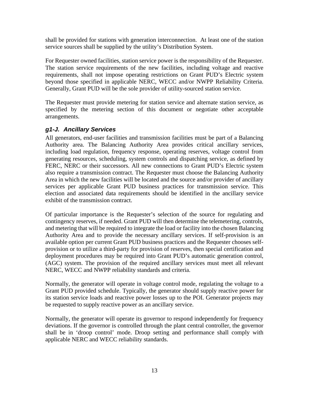shall be provided for stations with generation interconnection. At least one of the station service sources shall be supplied by the utility's Distribution System.

For Requester owned facilities, station service power is the responsibility of the Requester. The station service requirements of the new facilities, including voltage and reactive requirements, shall not impose operating restrictions on Grant PUD's Electric system beyond those specified in applicable NERC, WECC and/or NWPP Reliability Criteria. Generally, Grant PUD will be the sole provider of utility-sourced station service.

The Requester must provide metering for station service and alternate station service, as specified by the metering section of this document or negotiate other acceptable arrangements.

## *g1-J. Ancillary Services*

All generators, end-user facilities and transmission facilities must be part of a Balancing Authority area. The Balancing Authority Area provides critical ancillary services, including load regulation, frequency response, operating reserves, voltage control from generating resources, scheduling, system controls and dispatching service, as defined by FERC, NERC or their successors. All new connections to Grant PUD's Electric system also require a transmission contract. The Requester must choose the Balancing Authority Area in which the new facilities will be located and the source and/or provider of ancillary services per applicable Grant PUD business practices for transmission service. This election and associated data requirements should be identified in the ancillary service exhibit of the transmission contract.

Of particular importance is the Requester's selection of the source for regulating and contingency reserves, if needed. Grant PUD will then determine the telemetering, controls, and metering that will be required to integrate the load or facility into the chosen Balancing Authority Area and to provide the necessary ancillary services. If self-provision is an available option per current Grant PUD business practices and the Requester chooses selfprovision or to utilize a third-party for provision of reserves, then special certification and deployment procedures may be required into Grant PUD's automatic generation control, (AGC) system. The provision of the required ancillary services must meet all relevant NERC, WECC and NWPP reliability standards and criteria.

Normally, the generator will operate in voltage control mode, regulating the voltage to a Grant PUD provided schedule. Typically, the generator should supply reactive power for its station service loads and reactive power losses up to the POI. Generator projects may be requested to supply reactive power as an ancillary service.

Normally, the generator will operate its governor to respond independently for frequency deviations. If the governor is controlled through the plant central controller, the governor shall be in 'droop control' mode. Droop setting and performance shall comply with applicable NERC and WECC reliability standards.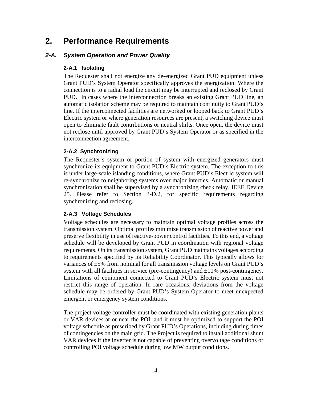# **2. Performance Requirements**

## *2-A. System Operation and Power Quality*

## **2-A.1 Isolating**

The Requester shall not energize any de-energized Grant PUD equipment unless Grant PUD's System Operator specifically approves the energization. Where the connection is to a radial load the circuit may be interrupted and reclosed by Grant PUD. In cases where the interconnection breaks an existing Grant PUD line, an automatic isolation scheme may be required to maintain continuity to Grant PUD's line. If the interconnected facilities are networked or looped back to Grant PUD's Electric system or where generation resources are present, a switching device must open to eliminate fault contributions or neutral shifts. Once open, the device must not reclose until approved by Grant PUD's System Operator or as specified in the interconnection agreement.

## **2-A.2 Synchronizing**

The Requester's system or portion of system with energized generators must synchronize its equipment to Grant PUD's Electric system. The exception to this is under large-scale islanding conditions, where Grant PUD's Electric system will re-synchronize to neighboring systems over major interties. Automatic or manual synchronization shall be supervised by a synchronizing check relay, IEEE Device 25. Please refer to Section 3-D.2, for specific requirements regarding synchronizing and reclosing.

#### **2-A.3 Voltage Schedules**

Voltage schedules are necessary to maintain optimal voltage profiles across the transmission system. Optimal profiles minimize transmission of reactive power and preserve flexibility in use of reactive-power control facilities. To this end, a voltage schedule will be developed by Grant PUD in coordination with regional voltage requirements. On its transmission system, Grant PUD maintains voltages according to requirements specified by its Reliability Coordinator. This typically allows for variances of ±5% from nominal for all transmission voltage levels on Grant PUD's system with all facilities in service (pre-contingency) and  $\pm 10\%$  post-contingency. Limitations of equipment connected to Grant PUD's Electric system must not restrict this range of operation. In rare occasions, deviations from the voltage schedule may be ordered by Grant PUD's System Operator to meet unexpected emergent or emergency system conditions.

The project voltage controller must be coordinated with existing generation plants or VAR devices at or near the POI, and it must be optimized to support the POI voltage schedule as prescribed by Grant PUD's Operations, including during times of contingencies on the main grid. The Project is required to install additional shunt VAR devices if the inverter is not capable of preventing overvoltage conditions or controlling POI voltage schedule during low MW output conditions.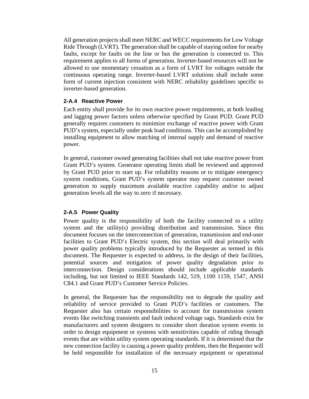All generation projects shall meet NERC and WECC requirements for Low Voltage Ride Through (LVRT). The generation shall be capable of staying online for nearby faults, except for faults on the line or bus the generation is connected to. This requirement applies to all forms of generation. Inverter-based resources will not be allowed to use momentary cessation as a form of LVRT for voltages outside the continuous operating range. Inverter-based LVRT solutions shall include some form of current injection consistent with NERC reliability guidelines specific to inverter-based generation.

#### **2-A.4 Reactive Power**

Each entity shall provide for its own reactive power requirements, at both leading and lagging power factors unless otherwise specified by Grant PUD. Grant PUD generally requires customers to minimize exchange of reactive power with Grant PUD's system, especially under peak load conditions. This can be accomplished by installing equipment to allow matching of internal supply and demand of reactive power.

In general, customer owned generating facilities shall not take reactive power from Grant PUD's system. Generator operating limits shall be reviewed and approved by Grant PUD prior to start up. For reliability reasons or to mitigate emergency system conditions, Grant PUD's system operator may request customer owned generation to supply maximum available reactive capability and/or to adjust generation levels all the way to zero if necessary.

#### **2-A.5 Power Quality**

Power quality is the responsibility of both the facility connected to a utility system and the utility(s) providing distribution and transmission. Since this document focuses on the interconnection of generation, transmission and end-user facilities to Grant PUD's Electric system, this section will deal primarily with power quality problems typically introduced by the Requester as termed in this document. The Requester is expected to address, in the design of their facilities, potential sources and mitigation of power quality degradation prior to interconnection. Design considerations should include applicable standards including, but not limited to IEEE Standards 142, 519, 1100 1159, 1547, ANSI C84.1 and Grant PUD's Customer Service Policies.

In general, the Requester has the responsibility not to degrade the quality and reliability of service provided to Grant PUD's facilities or customers. The Requester also has certain responsibilities to account for transmission system events like switching transients and fault induced voltage sags. Standards exist for manufacturers and system designers to consider short duration system events in order to design equipment or systems with sensitivities capable of riding through events that are within utility system operating standards. If it is determined that the new connection facility is causing a power quality problem, then the Requester will be held responsible for installation of the necessary equipment or operational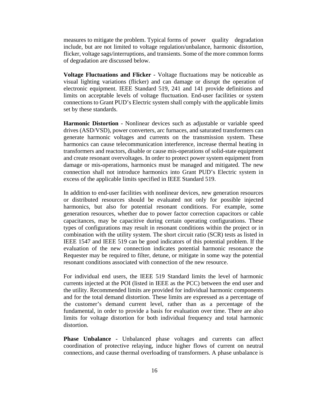measures to mitigate the problem. Typical forms of power quality degradation include, but are not limited to voltage regulation/unbalance, harmonic distortion, flicker, voltage sags/interruptions, and transients. Some of the more common forms of degradation are discussed below.

**Voltage Fluctuations and Flicker -** Voltage fluctuations may be noticeable as visual lighting variations (flicker) and can damage or disrupt the operation of electronic equipment. IEEE Standard 519, 241 and 141 provide definitions and limits on acceptable levels of voltage fluctuation. End-user facilities or system connections to Grant PUD's Electric system shall comply with the applicable limits set by these standards.

**Harmonic Distortion -** Nonlinear devices such as adjustable or variable speed drives (ASD/VSD), power converters, arc furnaces, and saturated transformers can generate harmonic voltages and currents on the transmission system. These harmonics can cause telecommunication interference, increase thermal heating in transformers and reactors, disable or cause mis-operations of solid-state equipment and create resonant overvoltages. In order to protect power system equipment from damage or mis-operations, harmonics must be managed and mitigated. The new connection shall not introduce harmonics into Grant PUD's Electric system in excess of the applicable limits specified in IEEE Standard 519.

In addition to end-user facilities with nonlinear devices, new generation resources or distributed resources should be evaluated not only for possible injected harmonics, but also for potential resonant conditions. For example, some generation resources, whether due to power factor correction capacitors or cable capacitances, may be capacitive during certain operating configurations. These types of configurations may result in resonant conditions within the project or in combination with the utility system. The short circuit ratio (SCR) tests as listed in IEEE 1547 and IEEE 519 can be good indicators of this potential problem. If the evaluation of the new connection indicates potential harmonic resonance the Requester may be required to filter, detune, or mitigate in some way the potential resonant conditions associated with connection of the new resource.

For individual end users, the IEEE 519 Standard limits the level of harmonic currents injected at the POI (listed in IEEE as the PCC) between the end user and the utility. Recommended limits are provided for individual harmonic components and for the total demand distortion. These limits are expressed as a percentage of the customer's demand current level, rather than as a percentage of the fundamental, in order to provide a basis for evaluation over time. There are also limits for voltage distortion for both individual frequency and total harmonic distortion.

**Phase Unbalance -** Unbalanced phase voltages and currents can affect coordination of protective relaying, induce higher flows of current on neutral connections, and cause thermal overloading of transformers. A phase unbalance is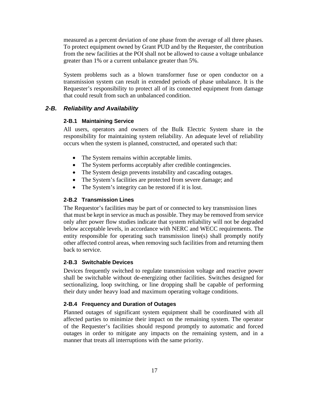measured as a percent deviation of one phase from the average of all three phases. To protect equipment owned by Grant PUD and by the Requester, the contribution from the new facilities at the POI shall not be allowed to cause a voltage unbalance greater than 1% or a current unbalance greater than 5%.

System problems such as a blown transformer fuse or open conductor on a transmission system can result in extended periods of phase unbalance. It is the Requester's responsibility to protect all of its connected equipment from damage that could result from such an unbalanced condition.

#### *2-B. Reliability and Availability*

#### **2-B.1 Maintaining Service**

All users, operators and owners of the Bulk Electric System share in the responsibility for maintaining system reliability. An adequate level of reliability occurs when the system is planned, constructed, and operated such that:

- The System remains within acceptable limits.
- The System performs acceptably after credible contingencies.
- The System design prevents instability and cascading outages.
- The System's facilities are protected from severe damage; and
- The System's integrity can be restored if it is lost.

#### **2-B.2 Transmission Lines**

The Requestor's facilities may be part of or connected to key transmission lines that must be kept in service as much as possible. They may be removed from service only after power flow studies indicate that system reliability will not be degraded below acceptable levels, in accordance with NERC and WECC requirements. The entity responsible for operating such transmission line(s) shall promptly notify other affected control areas, when removing such facilities from and returning them back to service.

#### **2-B.3 Switchable Devices**

Devices frequently switched to regulate transmission voltage and reactive power shall be switchable without de-energizing other facilities. Switches designed for sectionalizing, loop switching, or line dropping shall be capable of performing their duty under heavy load and maximum operating voltage conditions.

#### **2-B.4 Frequency and Duration of Outages**

Planned outages of significant system equipment shall be coordinated with all affected parties to minimize their impact on the remaining system. The operator of the Requester's facilities should respond promptly to automatic and forced outages in order to mitigate any impacts on the remaining system, and in a manner that treats all interruptions with the same priority.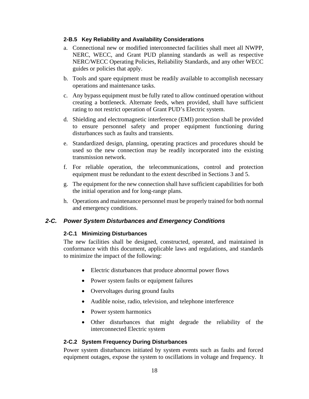#### **2-B.5 Key Reliability and Availability Considerations**

- a. Connectional new or modified interconnected facilities shall meet all NWPP, NERC, WECC, and Grant PUD planning standards as well as respective NERC/WECC Operating Policies, Reliability Standards, and any other WECC guides or policies that apply.
- b. Tools and spare equipment must be readily available to accomplish necessary operations and maintenance tasks.
- c. Any bypass equipment must be fully rated to allow continued operation without creating a bottleneck. Alternate feeds, when provided, shall have sufficient rating to not restrict operation of Grant PUD's Electric system.
- d. Shielding and electromagnetic interference (EMI) protection shall be provided to ensure personnel safety and proper equipment functioning during disturbances such as faults and transients.
- e. Standardized design, planning, operating practices and procedures should be used so the new connection may be readily incorporated into the existing transmission network.
- f. For reliable operation, the telecommunications, control and protection equipment must be redundant to the extent described in Sections 3 and 5.
- g. The equipment for the new connection shall have sufficient capabilities for both the initial operation and for long-range plans.
- h. Operations and maintenance personnel must be properly trained for both normal and emergency conditions.

#### *2-C. Power System Disturbances and Emergency Conditions*

#### **2-C.1 Minimizing Disturbances**

The new facilities shall be designed, constructed, operated, and maintained in conformance with this document, applicable laws and regulations, and standards to minimize the impact of the following:

- Electric disturbances that produce abnormal power flows
- Power system faults or equipment failures
- Overvoltages during ground faults
- Audible noise, radio, television, and telephone interference
- Power system harmonics
- Other disturbances that might degrade the reliability of the interconnected Electric system

#### **2-C.2 System Frequency During Disturbances**

Power system disturbances initiated by system events such as faults and forced equipment outages, expose the system to oscillations in voltage and frequency. It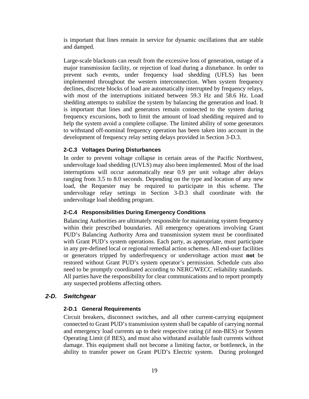is important that lines remain in service for dynamic oscillations that are stable and damped.

Large-scale blackouts can result from the excessive loss of generation, outage of a major transmission facility, or rejection of load during a disturbance. In order to prevent such events, under frequency load shedding (UFLS) has been implemented throughout the western interconnection. When system frequency declines, discrete blocks of load are automatically interrupted by frequency relays, with most of the interruptions initiated between 59.3 Hz and 58.6 Hz. Load shedding attempts to stabilize the system by balancing the generation and load. It is important that lines and generators remain connected to the system during frequency excursions, both to limit the amount of load shedding required and to help the system avoid a complete collapse. The limited ability of some generators to withstand off-nominal frequency operation has been taken into account in the development of frequency relay setting delays provided in Section 3-D.3.

#### **2-C.3 Voltages During Disturbances**

In order to prevent voltage collapse in certain areas of the Pacific Northwest, undervoltage load shedding (UVLS) may also been implemented. Most of the load interruptions will occur automatically near 0.9 per unit voltage after delays ranging from 3.5 to 8.0 seconds. Depending on the type and location of any new load, the Requester may be required to participate in this scheme. The undervoltage relay settings in Section 3-D.3 shall coordinate with the undervoltage load shedding program.

#### **2-C.4 Responsibilities During Emergency Conditions**

Balancing Authorities are ultimately responsible for maintaining system frequency within their prescribed boundaries. All emergency operations involving Grant PUD's Balancing Authority Area and transmission system must be coordinated with Grant PUD's system operations. Each party, as appropriate, must participate in any pre-defined local or regional remedial action schemes. All end-user facilities or generators tripped by underfrequency or undervoltage action must **not** be restored without Grant PUD's system operator's permission. Schedule cuts also need to be promptly coordinated according to NERC/WECC reliability standards. All parties have the responsibility for clear communications and to report promptly any suspected problems affecting others.

#### *2-D. Switchgear*

#### **2-D.1 General Requirements**

Circuit breakers, disconnect switches, and all other current-carrying equipment connected to Grant PUD's transmission system shall be capable of carrying normal and emergency load currents up to their respective rating (if non-BES) or System Operating Limit (if BES), and must also withstand available fault currents without damage. This equipment shall not become a limiting factor, or bottleneck, in the ability to transfer power on Grant PUD's Electric system. During prolonged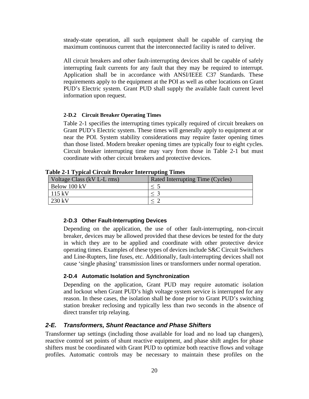steady-state operation, all such equipment shall be capable of carrying the maximum continuous current that the interconnected facility is rated to deliver.

All circuit breakers and other fault-interrupting devices shall be capable of safely interrupting fault currents for any fault that they may be required to interrupt. Application shall be in accordance with ANSI/IEEE C37 Standards. These requirements apply to the equipment at the POI as well as other locations on Grant PUD's Electric system. Grant PUD shall supply the available fault current level information upon request.

#### **2-D.2 Circuit Breaker Operating Times**

Table 2-1 specifies the interrupting times typically required of circuit breakers on Grant PUD's Electric system. These times will generally apply to equipment at or near the POI. System stability considerations may require faster opening times than those listed. Modern breaker opening times are typically four to eight cycles. Circuit breaker interrupting time may vary from those in Table 2-1 but must coordinate with other circuit breakers and protective devices.

| $\mathbf{1}_{\text{H}}$ and $\mathbf{1}_{\text{H}}$ and $\mathbf{1}_{\text{H}}$ and $\mathbf{1}_{\text{H}}$ and $\mathbf{1}_{\text{H}}$ and $\mathbf{1}_{\text{H}}$ and $\mathbf{1}_{\text{H}}$ |                                         |  |  |  |
|-------------------------------------------------------------------------------------------------------------------------------------------------------------------------------------------------|-----------------------------------------|--|--|--|
| Voltage Class (kV L-L rms)                                                                                                                                                                      | <b>Rated Interrupting Time (Cycles)</b> |  |  |  |
| Below 100 kV                                                                                                                                                                                    | $\leq$                                  |  |  |  |
| $115 \text{ kV}$                                                                                                                                                                                |                                         |  |  |  |
| $230 \text{ kV}$                                                                                                                                                                                |                                         |  |  |  |

**Table 2-1 Typical Circuit Breaker Interrupting Times**

#### **2-D.3 Other Fault-Interrupting Devices**

Depending on the application, the use of other fault-interrupting, non-circuit breaker, devices may be allowed provided that these devices be tested for the duty in which they are to be applied and coordinate with other protective device operating times. Examples of these types of devices include S&C Circuit Switchers and Line-Rupters, line fuses, etc. Additionally, fault-interrupting devices shall not cause 'single phasing' transmission lines or transformers under normal operation.

#### **2-D.4 Automatic Isolation and Synchronization**

Depending on the application, Grant PUD may require automatic isolation and lockout when Grant PUD's high voltage system service is interrupted for any reason. In these cases, the isolation shall be done prior to Grant PUD's switching station breaker reclosing and typically less than two seconds in the absence of direct transfer trip relaying.

#### *2-E. Transformers, Shunt Reactance and Phase Shifters*

Transformer tap settings (including those available for load and no load tap changers), reactive control set points of shunt reactive equipment, and phase shift angles for phase shifters must be coordinated with Grant PUD to optimize both reactive flows and voltage profiles. Automatic controls may be necessary to maintain these profiles on the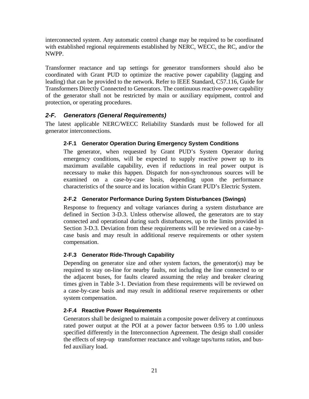interconnected system. Any automatic control change may be required to be coordinated with established regional requirements established by NERC, WECC, the RC, and/or the NWPP.

Transformer reactance and tap settings for generator transformers should also be coordinated with Grant PUD to optimize the reactive power capability (lagging and leading) that can be provided to the network. Refer to IEEE Standard, C57.116, Guide for Transformers Directly Connected to Generators. The continuous reactive-power capability of the generator shall not be restricted by main or auxiliary equipment, control and protection, or operating procedures.

## *2-F. Generators (General Requirements)*

The latest applicable NERC/WECC Reliability Standards must be followed for all generator interconnections.

## **2-F.1 Generator Operation During Emergency System Conditions**

The generator, when requested by Grant PUD's System Operator during emergency conditions, will be expected to supply reactive power up to its maximum available capability, even if reductions in real power output is necessary to make this happen. Dispatch for non-synchronous sources will be examined on a case-by-case basis, depending upon the performance characteristics of the source and its location within Grant PUD's Electric System.

## **2-F.2 Generator Performance During System Disturbances (Swings)**

Response to frequency and voltage variances during a system disturbance are defined in Section 3-D.3. Unless otherwise allowed, the generators are to stay connected and operational during such disturbances, up to the limits provided in Section 3-D.3. Deviation from these requirements will be reviewed on a case-bycase basis and may result in additional reserve requirements or other system compensation.

#### **2-F.3 Generator Ride-Through Capability**

Depending on generator size and other system factors, the generator(s) may be required to stay on-line for nearby faults, not including the line connected to or the adjacent buses, for faults cleared assuming the relay and breaker clearing times given in Table 3-1. Deviation from these requirements will be reviewed on a case-by-case basis and may result in additional reserve requirements or other system compensation.

#### **2-F.4 Reactive Power Requirements**

Generators shall be designed to maintain a composite power delivery at continuous rated power output at the POI at a power factor between 0.95 to 1.00 unless specified differently in the Interconnection Agreement. The design shall consider the effects of step-up transformer reactance and voltage taps/turns ratios, and busfed auxiliary load.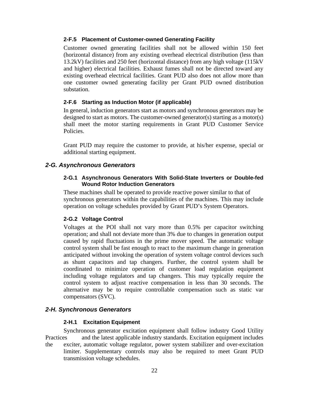#### **2-F.5 Placement of Customer-owned Generating Facility**

Customer owned generating facilities shall not be allowed within 150 feet (horizontal distance) from any existing overhead electrical distribution (less than 13.2kV) facilities and 250 feet (horizontal distance) from any high voltage (115kV and higher) electrical facilities. Exhaust fumes shall not be directed toward any existing overhead electrical facilities. Grant PUD also does not allow more than one customer owned generating facility per Grant PUD owned distribution substation.

#### **2-F.6 Starting as Induction Motor (if applicable)**

In general, induction generators start as motors and synchronous generators may be designed to start as motors. The customer-owned generator(s) starting as a motor(s) shall meet the motor starting requirements in Grant PUD Customer Service Policies.

Grant PUD may require the customer to provide, at his/her expense, special or additional starting equipment.

#### *2-G. Asynchronous Generators*

#### **2-G.1 Asynchronous Generators With Solid-State Inverters or Double-fed Wound Rotor Induction Generators**

These machines shall be operated to provide reactive power similar to that of synchronous generators within the capabilities of the machines. This may include operation on voltage schedules provided by Grant PUD's System Operators.

#### **2-G.2 Voltage Control**

Voltages at the POI shall not vary more than 0.5% per capacitor switching operation; and shall not deviate more than 3% due to changes in generation output caused by rapid fluctuations in the prime mover speed. The automatic voltage control system shall be fast enough to react to the maximum change in generation anticipated without invoking the operation of system voltage control devices such as shunt capacitors and tap changers. Further, the control system shall be coordinated to minimize operation of customer load regulation equipment including voltage regulators and tap changers. This may typically require the control system to adjust reactive compensation in less than 30 seconds. The alternative may be to require controllable compensation such as static var compensators (SVC).

#### *2-H. Synchronous Generators*

#### **2-H.1 Excitation Equipment**

Synchronous generator excitation equipment shall follow industry Good Utility Practices and the latest applicable industry standards. Excitation equipment includes the exciter, automatic voltage regulator, power system stabilizer and over-excitation limiter. Supplementary controls may also be required to meet Grant PUD transmission voltage schedules.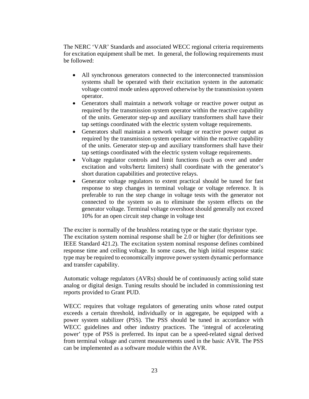The NERC 'VAR' Standards and associated WECC regional criteria requirements for excitation equipment shall be met. In general, the following requirements must be followed:

- All synchronous generators connected to the interconnected transmission systems shall be operated with their excitation system in the automatic voltage control mode unless approved otherwise by the transmission system operator.
- Generators shall maintain a network voltage or reactive power output as required by the transmission system operator within the reactive capability of the units. Generator step-up and auxiliary transformers shall have their tap settings coordinated with the electric system voltage requirements.
- Generators shall maintain a network voltage or reactive power output as required by the transmission system operator within the reactive capability of the units. Generator step-up and auxiliary transformers shall have their tap settings coordinated with the electric system voltage requirements.
- Voltage regulator controls and limit functions (such as over and under excitation and volts/hertz limiters) shall coordinate with the generator's short duration capabilities and protective relays.
- Generator voltage regulators to extent practical should be tuned for fast response to step changes in terminal voltage or voltage reference. It is preferable to run the step change in voltage tests with the generator not connected to the system so as to eliminate the system effects on the generator voltage. Terminal voltage overshoot should generally not exceed 10% for an open circuit step change in voltage test

The exciter is normally of the brushless rotating type or the static thyristor type. The excitation system nominal response shall be 2.0 or higher (for definitions see IEEE Standard 421.2). The excitation system nominal response defines combined response time and ceiling voltage. In some cases, the high initial response static type may be required to economically improve power system dynamic performance and transfer capability.

Automatic voltage regulators (AVRs) should be of continuously acting solid state analog or digital design. Tuning results should be included in commissioning test reports provided to Grant PUD.

WECC requires that voltage regulators of generating units whose rated output exceeds a certain threshold, individually or in aggregate, be equipped with a power system stabilizer (PSS). The PSS should be tuned in accordance with WECC guidelines and other industry practices. The 'integral of accelerating power' type of PSS is preferred. Its input can be a speed-related signal derived from terminal voltage and current measurements used in the basic AVR. The PSS can be implemented as a software module within the AVR.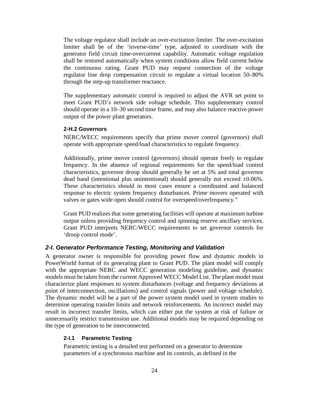The voltage regulator shall include an over-excitation limiter. The over-excitation limiter shall be of the 'inverse-time' type, adjusted to coordinate with the generator field circuit time-overcurrent capability. Automatic voltage regulation shall be restored automatically when system conditions allow field current below the continuous rating. Grant PUD may request connection of the voltage regulator line drop compensation circuit to regulate a virtual location 50–80% through the step-up transformer reactance.

The supplementary automatic control is required to adjust the AVR set point to meet Grant PUD's network side voltage schedule. This supplementary control should operate in a 10–30 second time frame, and may also balance reactive power output of the power plant generators.

#### **2-H.2 Governors**

NERC/WECC requirements specify that prime mover control (governors) shall operate with appropriate speed/load characteristics to regulate frequency.

Additionally, prime mover control (governors) should operate freely to regulate frequency. In the absence of regional requirements for the speed/load control characteristics, governor droop should generally be set at 5% and total governor dead band (intentional plus unintentional) should generally not exceed  $\pm 0.06\%$ . These characteristics should in most cases ensure a coordinated and balanced response to electric system frequency disturbances. Prime movers operated with valves or gates wide open should control for overspeed/overfrequency."

Grant PUD realizes that some generating facilities will operate at maximum turbine output unless providing frequency control and spinning reserve ancillary services. Grant PUD interprets NERC/WECC requirements to set governor controls for 'droop control mode'.

#### *2-I. Generator Performance Testing, Monitoring and Validation*

A generator owner is responsible for providing power flow and dynamic models in PowerWorld format of its generating plant to Grant PUD. The plant model will comply with the appropriate NERC and WECC generation modeling guideline, and dynamic models must be taken from the current Approved WECC Model List. The plant model must characterize plant responses to system disturbances (voltage and frequency deviations at point of interconnection, oscillations) and control signals (power and voltage schedule). The dynamic model will be a part of the power system model used in system studies to determine operating transfer limits and network reinforcements. An incorrect model may result in incorrect transfer limits, which can either put the system at risk of failure or unnecessarily restrict transmission use. Additional models may be required depending on the type of generation to be interconnected.

#### **2-I.1 Parametric Testing**

Parametric testing is a detailed test performed on a generator to determine parameters of a synchronous machine and its controls, as defined in the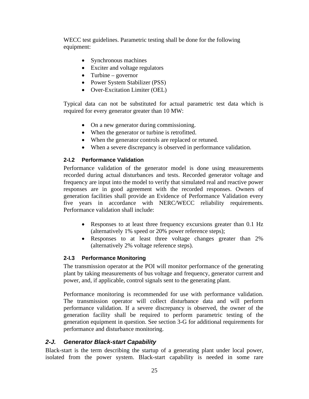WECC test guidelines. Parametric testing shall be done for the following equipment:

- Synchronous machines
- Exciter and voltage regulators
- Turbine governor
- Power System Stabilizer (PSS)
- Over-Excitation Limiter (OEL)

Typical data can not be substituted for actual parametric test data which is required for every generator greater than 10 MW:

- On a new generator during commissioning.
- When the generator or turbine is retrofitted.
- When the generator controls are replaced or retuned.
- When a severe discrepancy is observed in performance validation.

#### **2-I.2 Performance Validation**

Performance validation of the generator model is done using measurements recorded during actual disturbances and tests. Recorded generator voltage and frequency are input into the model to verify that simulated real and reactive power responses are in good agreement with the recorded responses. Owners of generation facilities shall provide an Evidence of Performance Validation every five years in accordance with NERC/WECC reliability requirements. Performance validation shall include:

- Responses to at least three frequency excursions greater than 0.1 Hz (alternatively 1% speed or 20% power reference steps);
- Responses to at least three voltage changes greater than 2% (alternatively 2% voltage reference steps).

#### **2-I.3 Performance Monitoring**

The transmission operator at the POI will monitor performance of the generating plant by taking measurements of bus voltage and frequency, generator current and power, and, if applicable, control signals sent to the generating plant.

Performance monitoring is recommended for use with performance validation. The transmission operator will collect disturbance data and will perform performance validation. If a severe discrepancy is observed, the owner of the generation facility shall be required to perform parametric testing of the generation equipment in question. See section 3-G for additional requirements for performance and disturbance monitoring.

#### *2-J. Generator Black-start Capability*

Black-start is the term describing the startup of a generating plant under local power, isolated from the power system. Black-start capability is needed in some rare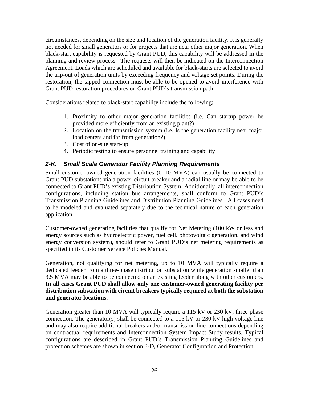circumstances, depending on the size and location of the generation facility. It is generally not needed for small generators or for projects that are near other major generation. When black-start capability is requested by Grant PUD, this capability will be addressed in the planning and review process. The requests will then be indicated on the Interconnection Agreement. Loads which are scheduled and available for black-starts are selected to avoid the trip-out of generation units by exceeding frequency and voltage set points. During the restoration, the tapped connection must be able to be opened to avoid interference with Grant PUD restoration procedures on Grant PUD's transmission path.

Considerations related to black-start capability include the following:

- 1. Proximity to other major generation facilities (i.e. Can startup power be provided more efficiently from an existing plant?)
- 2. Location on the transmission system (i.e. Is the generation facility near major load centers and far from generation?)
- 3. Cost of on-site start-up
- 4. Periodic testing to ensure personnel training and capability.

## *2-K. Small Scale Generator Facility Planning Requirements*

Small customer-owned generation facilities (0–10 MVA) can usually be connected to Grant PUD substations via a power circuit breaker and a radial line or may be able to be connected to Grant PUD's existing Distribution System. Additionally, all interconnection configurations, including station bus arrangements, shall conform to Grant PUD's Transmission Planning Guidelines and Distribution Planning Guidelines. All cases need to be modeled and evaluated separately due to the technical nature of each generation application.

Customer-owned generating facilities that qualify for Net Metering (100 kW or less and energy sources such as hydroelectric power, fuel cell, photovoltaic generation, and wind energy conversion system), should refer to Grant PUD's net metering requirements as specified in its Customer Service Policies Manual.

Generation, not qualifying for net metering, up to 10 MVA will typically require a dedicated feeder from a three-phase distribution substation while generation smaller than 3.5 MVA may be able to be connected on an existing feeder along with other customers. **In all cases Grant PUD shall allow only one customer-owned generating facility per distribution substation with circuit breakers typically required at both the substation and generator locations.**

Generation greater than 10 MVA will typically require a 115 kV or 230 kV, three phase connection. The generator(s) shall be connected to a 115 kV or 230 kV high voltage line and may also require additional breakers and/or transmission line connections depending on contractual requirements and Interconnection System Impact Study results. Typical configurations are described in Grant PUD's Transmission Planning Guidelines and protection schemes are shown in section 3-D, Generator Configuration and Protection.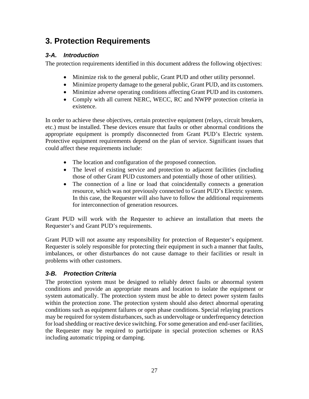# **3. Protection Requirements**

## *3-A. Introduction*

The protection requirements identified in this document address the following objectives:

- Minimize risk to the general public, Grant PUD and other utility personnel.
- Minimize property damage to the general public, Grant PUD, and its customers.
- Minimize adverse operating conditions affecting Grant PUD and its customers.
- Comply with all current NERC, WECC, RC and NWPP protection criteria in existence.

In order to achieve these objectives, certain protective equipment (relays, circuit breakers, etc.) must be installed. These devices ensure that faults or other abnormal conditions the appropriate equipment is promptly disconnected from Grant PUD's Electric system. Protective equipment requirements depend on the plan of service. Significant issues that could affect these requirements include:

- The location and configuration of the proposed connection.
- The level of existing service and protection to adjacent facilities (including those of other Grant PUD customers and potentially those of other utilities).
- The connection of a line or load that coincidentally connects a generation resource, which was not previously connected to Grant PUD's Electric system. In this case, the Requester will also have to follow the additional requirements for interconnection of generation resources.

Grant PUD will work with the Requester to achieve an installation that meets the Requester's and Grant PUD's requirements.

Grant PUD will not assume any responsibility for protection of Requester's equipment. Requester is solely responsible for protecting their equipment in such a manner that faults, imbalances, or other disturbances do not cause damage to their facilities or result in problems with other customers.

## *3-B. Protection Criteria*

The protection system must be designed to reliably detect faults or abnormal system conditions and provide an appropriate means and location to isolate the equipment or system automatically. The protection system must be able to detect power system faults within the protection zone. The protection system should also detect abnormal operating conditions such as equipment failures or open phase conditions. Special relaying practices may be required for system disturbances, such as undervoltage or underfrequency detection for load shedding or reactive device switching. For some generation and end-user facilities, the Requester may be required to participate in special protection schemes or RAS including automatic tripping or damping.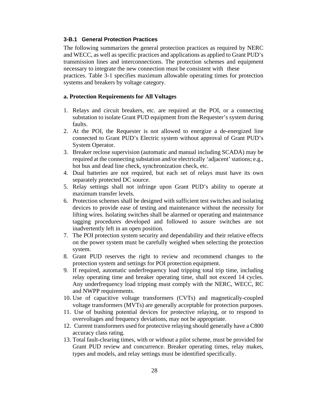#### **3-B.1 General Protection Practices**

The following summarizes the general protection practices as required by NERC and WECC, as well as specific practices and applications as applied to Grant PUD's transmission lines and interconnections. The protection schemes and equipment necessary to integrate the new connection must be consistent with these practices. Table 3-1 specifies maximum allowable operating times for protection systems and breakers by voltage category.

#### **a. Protection Requirements for All Voltages**

- 1. Relays and circuit breakers, etc. are required at the POI, or a connecting substation to isolate Grant PUD equipment from the Requester's system during faults.
- 2. At the POI, the Requester is not allowed to energize a de-energized line connected to Grant PUD's Electric system without approval of Grant PUD's System Operator.
- 3. Breaker reclose supervision (automatic and manual including SCADA) may be required at the connecting substation and/or electrically 'adjacent' stations; e.g., hot bus and dead line check, synchronization check, etc.
- 4. Dual batteries are not required, but each set of relays must have its own separately protected DC source.
- 5. Relay settings shall not infringe upon Grant PUD's ability to operate at maximum transfer levels.
- 6. Protection schemes shall be designed with sufficient test switches and isolating devices to provide ease of testing and maintenance without the necessity for lifting wires. Isolating switches shall be alarmed or operating and maintenance tagging procedures developed and followed to assure switches are not inadvertently left in an open position.
- 7. The POI protection system security and dependability and their relative effects on the power system must be carefully weighed when selecting the protection system.
- 8. Grant PUD reserves the right to review and recommend changes to the protection system and settings for POI protection equipment.
- 9. If required, automatic underfrequency load tripping total trip time, including relay operating time and breaker operating time, shall not exceed 14 cycles. Any underfrequency load tripping must comply with the NERC, WECC, RC and NWPP requirements.
- 10. Use of capacitive voltage transformers (CVTs) and magnetically-coupled voltage transformers (MVTs) are generally acceptable for protection purposes.
- 11. Use of bushing potential devices for protective relaying, or to respond to overvoltages and frequency deviations, may not be appropriate.
- 12. Current transformers used for protective relaying should generally have a C800 accuracy class rating.
- 13. Total fault-clearing times, with or without a pilot scheme, must be provided for Grant PUD review and concurrence. Breaker operating times, relay makes, types and models, and relay settings must be identified specifically.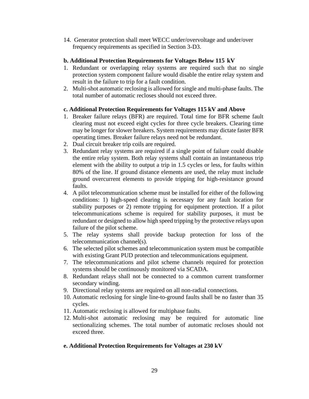14. Generator protection shall meet WECC under/overvoltage and under/over frequency requirements as specified in Section 3-D3.

#### **b. Additional Protection Requirements for Voltages Below 115 kV**

- 1. Redundant or overlapping relay systems are required such that no single protection system component failure would disable the entire relay system and result in the failure to trip for a fault condition.
- 2. Multi-shot automatic reclosing is allowed for single and multi-phase faults. The total number of automatic recloses should not exceed three.

#### **c. Additional Protection Requirements for Voltages 115 kV and Above**

- 1. Breaker failure relays (BFR) are required. Total time for BFR scheme fault clearing must not exceed eight cycles for three cycle breakers. Clearing time may be longer for slower breakers. System requirements may dictate faster BFR operating times. Breaker failure relays need not be redundant.
- 2. Dual circuit breaker trip coils are required.
- 3. Redundant relay systems are required if a single point of failure could disable the entire relay system. Both relay systems shall contain an instantaneous trip element with the ability to output a trip in 1.5 cycles or less, for faults within 80% of the line. If ground distance elements are used, the relay must include ground overcurrent elements to provide tripping for high-resistance ground faults.
- 4. A pilot telecommunication scheme must be installed for either of the following conditions: 1) high-speed clearing is necessary for any fault location for stability purposes or 2) remote tripping for equipment protection. If a pilot telecommunications scheme is required for stability purposes, it must be redundant or designed to allow high speed tripping by the protective relays upon failure of the pilot scheme.
- 5. The relay systems shall provide backup protection for loss of the telecommunication channel(s).
- 6. The selected pilot schemes and telecommunication system must be compatible with existing Grant PUD protection and telecommunications equipment.
- 7. The telecommunications and pilot scheme channels required for protection systems should be continuously monitored via SCADA.
- 8. Redundant relays shall not be connected to a common current transformer secondary winding.
- 9. Directional relay systems are required on all non-radial connections.
- 10. Automatic reclosing for single line-to-ground faults shall be no faster than 35 cycles.
- 11. Automatic reclosing is allowed for multiphase faults.
- 12. Multi-shot automatic reclosing may be required for automatic line sectionalizing schemes. The total number of automatic recloses should not exceed three.

#### **e. Additional Protection Requirements for Voltages at 230 kV**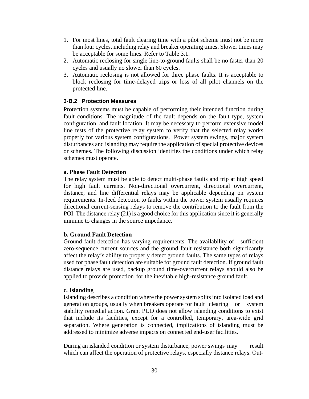- 1. For most lines, total fault clearing time with a pilot scheme must not be more than four cycles, including relay and breaker operating times. Slower times may be acceptable for some lines. Refer to Table 3.1.
- 2. Automatic reclosing for single line-to-ground faults shall be no faster than 20 cycles and usually no slower than 60 cycles.
- 3. Automatic reclosing is not allowed for three phase faults. It is acceptable to block reclosing for time-delayed trips or loss of all pilot channels on the protected line.

#### **3-B.2 Protection Measures**

Protection systems must be capable of performing their intended function during fault conditions. The magnitude of the fault depends on the fault type, system configuration, and fault location. It may be necessary to perform extensive model line tests of the protective relay system to verify that the selected relay works properly for various system configurations. Power system swings, major system disturbances and islanding may require the application of special protective devices or schemes. The following discussion identifies the conditions under which relay schemes must operate.

#### **a. Phase Fault Detection**

The relay system must be able to detect multi-phase faults and trip at high speed for high fault currents. Non-directional overcurrent, directional overcurrent, distance, and line differential relays may be applicable depending on system requirements. In-feed detection to faults within the power system usually requires directional current-sensing relays to remove the contribution to the fault from the POI. The distance relay (21) is a good choice for this application since it is generally immune to changes in the source impedance.

#### **b. Ground Fault Detection**

Ground fault detection has varying requirements. The availability of sufficient zero-sequence current sources and the ground fault resistance both significantly affect the relay's ability to properly detect ground faults. The same types of relays used for phase fault detection are suitable for ground fault detection. If ground fault distance relays are used, backup ground time-overcurrent relays should also be applied to provide protection for the inevitable high-resistance ground fault.

#### **c. Islanding**

Islanding describes a condition where the power system splits into isolated load and generation groups, usually when breakers operate for fault clearing or system stability remedial action. Grant PUD does not allow islanding conditions to exist that include its facilities, except for a controlled, temporary, area-wide grid separation. Where generation is connected, implications of islanding must be addressed to minimize adverse impacts on connected end-user facilities.

During an islanded condition or system disturbance, power swings may result which can affect the operation of protective relays, especially distance relays. Out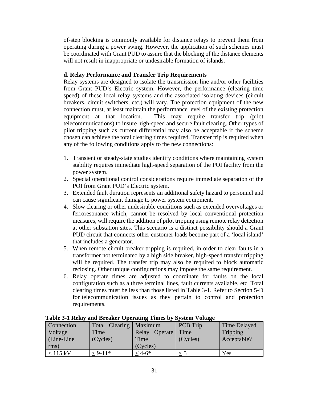of-step blocking is commonly available for distance relays to prevent them from operating during a power swing. However, the application of such schemes must be coordinated with Grant PUD to assure that the blocking of the distance elements will not result in inappropriate or undesirable formation of islands.

#### **d. Relay Performance and Transfer Trip Requirements**

Relay systems are designed to isolate the transmission line and/or other facilities from Grant PUD's Electric system. However, the performance (clearing time speed) of these local relay systems and the associated isolating devices (circuit breakers, circuit switchers, etc.) will vary. The protection equipment of the new connection must, at least maintain the performance level of the existing protection equipment at that location. This may require transfer trip (pilot telecommunications) to insure high-speed and secure fault clearing. Other types of pilot tripping such as current differential may also be acceptable if the scheme chosen can achieve the total clearing times required. Transfer trip is required when any of the following conditions apply to the new connections:

- 1. Transient or steady-state studies identify conditions where maintaining system stability requires immediate high-speed separation of the POI facility from the power system.
- 2. Special operational control considerations require immediate separation of the POI from Grant PUD's Electric system.
- 3. Extended fault duration represents an additional safety hazard to personnel and can cause significant damage to power system equipment.
- 4. Slow clearing or other undesirable conditions such as extended overvoltages or ferroresonance which, cannot be resolved by local conventional protection measures, will require the addition of pilot tripping using remote relay detection at other substation sites. This scenario is a distinct possibility should a Grant PUD circuit that connects other customer loads become part of a 'local island' that includes a generator.
- 5. When remote circuit breaker tripping is required, in order to clear faults in a transformer not terminated by a high side breaker, high-speed transfer tripping will be required. The transfer trip may also be required to block automatic reclosing. Other unique configurations may impose the same requirement.
- 6. Relay operate times are adjusted to coordinate for faults on the local configuration such as a three terminal lines, fault currents available, etc. Total clearing times must be less than those listed in Table 3-1. Refer to Section 5-D for telecommunication issues as they pertain to control and protection requirements.

| <b>Connection</b> | Total Clearing   Maximum |                  | PCB Trip | <b>Time Delayed</b> |
|-------------------|--------------------------|------------------|----------|---------------------|
| Voltage           | Time                     | Operate<br>Relay | Time     | Tripping            |
| Line-Line         | (Cycles)                 | Time             | (Cycles) | Acceptable?         |
| rms)              |                          | (Cycles)         |          |                     |
| $<$ 115 kV        | $< 9-11*$                | $< 4.6*$         |          | Yes                 |

#### **Table 3-1 Relay and Breaker Operating Times by System Voltage**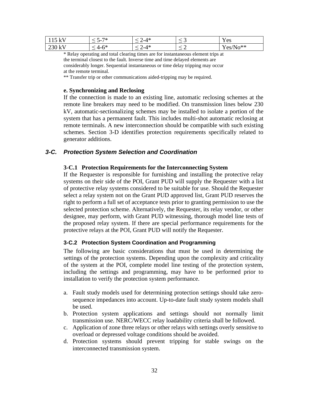| $115$ kV | ワネ<br>$\mathbf{v} = \mathbf{v}$<br>$\overline{\phantom{a}}$ | $-4*$   | $ \sim$ | $\mathbf{r}$<br><b>Y</b> es |
|----------|-------------------------------------------------------------|---------|---------|-----------------------------|
| 230 kV   | $4 - 6*$                                                    | . $-4*$ |         | 'es/No**                    |

\* Relay operating and total clearing times are for instantaneous element trips at the terminal closest to the fault. Inverse time and time delayed elements are considerably longer. Sequential instantaneous or time delay tripping may occur at the remote terminal.

\*\* Transfer trip or other communications aided-tripping may be required.

#### **e. Synchronizing and Reclosing**

If the connection is made to an existing line, automatic reclosing schemes at the remote line breakers may need to be modified. On transmission lines below 230 kV, automatic-sectionalizing schemes may be installed to isolate a portion of the system that has a permanent fault. This includes multi-shot automatic reclosing at remote terminals. A new interconnection should be compatible with such existing schemes. Section 3-D identifies protection requirements specifically related to generator additions.

#### *3-C. Protection System Selection and Coordination*

#### **3-C.1 Protection Requirements for the Interconnecting System**

If the Requester is responsible for furnishing and installing the protective relay systems on their side of the POI, Grant PUD will supply the Requester with a list of protective relay systems considered to be suitable for use. Should the Requester select a relay system not on the Grant PUD approved list, Grant PUD reserves the right to perform a full set of acceptance tests prior to granting permission to use the selected protection scheme. Alternatively, the Requester, its relay vendor, or other designee, may perform, with Grant PUD witnessing, thorough model line tests of the proposed relay system. If there are special performance requirements for the protective relays at the POI, Grant PUD will notify the Requester.

#### **3-C.2 Protection System Coordination and Programming**

The following are basic considerations that must be used in determining the settings of the protection systems. Depending upon the complexity and criticality of the system at the POI, complete model line testing of the protection system, including the settings and programming, may have to be performed prior to installation to verify the protection system performance.

- a. Fault study models used for determining protection settings should take zerosequence impedances into account. Up-to-date fault study system models shall be used.
- b. Protection system applications and settings should not normally limit transmission use. NERC/WECC relay loadability criteria shall be followed.
- c. Application of zone three relays or other relays with settings overly sensitive to overload or depressed voltage conditions should be avoided.
- d. Protection systems should prevent tripping for stable swings on the interconnected transmission system.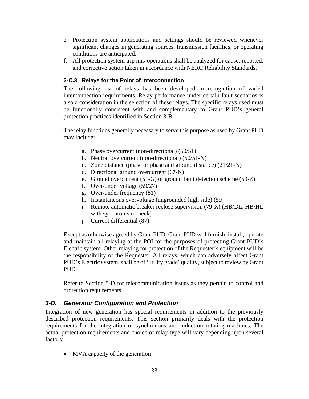- e. Protection system applications and settings should be reviewed whenever significant changes in generating sources, transmission facilities, or operating conditions are anticipated.
- f. All protection system trip mis-operations shall be analyzed for cause, reported, and corrective action taken in accordance with NERC Reliability Standards.

#### **3-C.3 Relays for the Point of Interconnection**

The following list of relays has been developed in recognition of varied interconnection requirements. Relay performance under certain fault scenarios is also a consideration in the selection of these relays. The specific relays used must be functionally consistent with and complementary to Grant PUD's general protection practices identified in Section 3-B1.

The relay functions generally necessary to serve this purpose as used by Grant PUD may include:

- a. Phase overcurrent (non-directional) (50/51)
- b. Neutral overcurrent (non-directional) (50/51-N)
- c. Zone distance (phase or phase and ground distance) (21/21-N)
- d. Directional ground overcurrent (67-N)
- e. Ground overcurrent (51-G) or ground fault detection scheme (59-Z)
- f. Over/under voltage (59/27)
- g. Over/under frequency (81)
- h. Instantaneous overvoltage (ungrounded high side) (59)
- i. Remote automatic breaker reclose supervision (79-X) (HB/DL, HB/HL with synchronism check)
- j. Current differential (87)

Except as otherwise agreed by Grant PUD, Grant PUD will furnish, install, operate and maintain all relaying at the POI for the purposes of protecting Grant PUD's Electric system. Other relaying for protection of the Requester's equipment will be the responsibility of the Requester. All relays, which can adversely affect Grant PUD's Electric system, shall be of 'utility grade' quality, subject to review by Grant PUD.

Refer to Section 5-D for telecommunication issues as they pertain to control and protection requirements.

## *3-D. Generator Configuration and Protection*

Integration of new generation has special requirements in addition to the previously described protection requirements. This section primarily deals with the protection requirements for the integration of synchronous and induction rotating machines. The actual protection requirements and choice of relay type will vary depending upon several factors:

• MVA capacity of the generation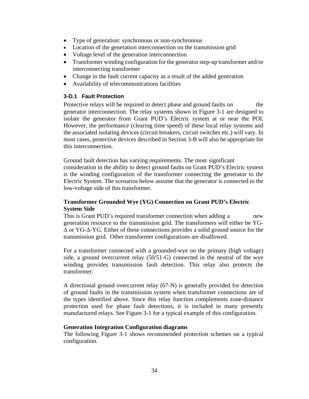- Type of generation: synchronous or non-synchronous
- Location of the generation interconnection on the transmission grid
- Voltage level of the generation interconnection
- Transformer winding configuration for the generator step-up transformer and/or interconnecting transformer
- Change in the fault current capacity as a result of the added generation
- Availability of telecommunications facilities

#### **3-D.1 Fault Protection**

Protective relays will be required to detect phase and ground faults on the generator interconnection. The relay systems shown in Figure 3-1 are designed to isolate the generator from Grant PUD's Electric system at or near the POI. However, the performance (clearing time speed) of these local relay systems and the associated isolating devices (circuit breakers, circuit switches etc.) will vary. In most cases, protective devices described in Section 3-B will also be appropriate for this interconnection.

Ground fault detection has varying requirements. The most significant consideration in the ability to detect ground faults on Grant PUD's Electric system is the winding configuration of the transformer connecting the generator to the Electric System. The scenarios below assume that the generator is connected to the low-voltage side of this transformer.

#### **Transformer Grounded Wye (YG) Connection on Grant PUD's Electric System Side**

This is Grant PUD's required transformer connection when adding a new generation resource to the transmission grid. The transformers will either be YG-Δ or YG-Δ-YG. Either of these connections provides a solid ground source for the transmission grid. Other transformer configurations are disallowed.

For a transformer connected with a grounded-wye on the primary (high voltage) side, a ground overcurrent relay (50/51-G) connected in the neutral of the wye winding provides transmission fault detection. This relay also protects the transformer.

A directional ground overcurrent relay (67-N) is generally provided for detection of ground faults in the transmission system when transformer connections are of the types identified above. Since this relay function complements zone-distance protection used for phase fault detections, it is included in many presently manufactured relays. See Figure 3-1 for a typical example of this configuration.

#### **Generation Integration Configuration diagrams**

The following Figure 3-1 shows recommended protection schemes on a typical configuration.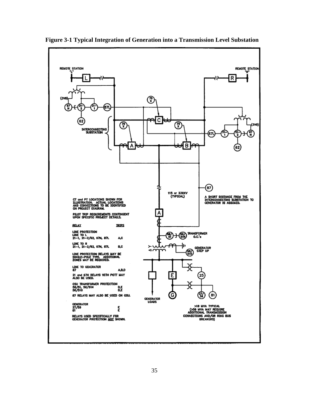

**Figure 3-1 Typical Integration of Generation into a Transmission Level Substation**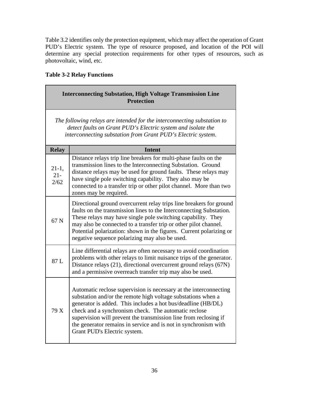Table 3.2 identifies only the protection equipment, which may affect the operation of Grant PUD's Electric system. The type of resource proposed, and location of the POI will determine any special protection requirements for other types of resources, such as photovoltaic, wind, etc.

## **Table 3-2 Relay Functions**

| <b>Interconnecting Substation, High Voltage Transmission Line</b><br><b>Protection</b>                                                                                                                  |                                                                                                                                                                                                                                                                                                                                                                                                                                  |  |  |  |
|---------------------------------------------------------------------------------------------------------------------------------------------------------------------------------------------------------|----------------------------------------------------------------------------------------------------------------------------------------------------------------------------------------------------------------------------------------------------------------------------------------------------------------------------------------------------------------------------------------------------------------------------------|--|--|--|
| The following relays are intended for the interconnecting substation to<br>detect faults on Grant PUD's Electric system and isolate the<br>interconnecting substation from Grant PUD's Electric system. |                                                                                                                                                                                                                                                                                                                                                                                                                                  |  |  |  |
| <b>Relay</b>                                                                                                                                                                                            | <b>Intent</b>                                                                                                                                                                                                                                                                                                                                                                                                                    |  |  |  |
| $21-1,$<br>$21 -$<br>2/62                                                                                                                                                                               | Distance relays trip line breakers for multi-phase faults on the<br>transmission lines to the Interconnecting Substation. Ground<br>distance relays may be used for ground faults. These relays may<br>have single pole switching capability. They also may be<br>connected to a transfer trip or other pilot channel. More than two<br>zones may be required.                                                                   |  |  |  |
| 67 <sub>N</sub>                                                                                                                                                                                         | Directional ground overcurrent relay trips line breakers for ground<br>faults on the transmission lines to the Interconnecting Substation.<br>These relays may have single pole switching capability. They<br>may also be connected to a transfer trip or other pilot channel.<br>Potential polarization: shown in the figures. Current polarizing or<br>negative sequence polarizing may also be used.                          |  |  |  |
| 87 L                                                                                                                                                                                                    | Line differential relays are often necessary to avoid coordination<br>problems with other relays to limit nuisance trips of the generator.<br>Distance relays (21), directional overcurrent ground relays (67N)<br>and a permissive overreach transfer trip may also be used.                                                                                                                                                    |  |  |  |
| 79 X                                                                                                                                                                                                    | Automatic reclose supervision is necessary at the interconnecting<br>substation and/or the remote high voltage substations when a<br>generator is added. This includes a hot bus/deadline (HB/DL)<br>check and a synchronism check. The automatic reclose<br>supervision will prevent the transmission line from reclosing if<br>the generator remains in service and is not in synchronism with<br>Grant PUD's Electric system. |  |  |  |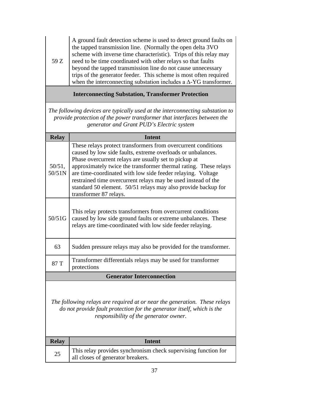|      | A ground fault detection scheme is used to detect ground faults on       |
|------|--------------------------------------------------------------------------|
|      | the tapped transmission line. (Normally the open delta 3VO               |
|      | scheme with inverse time characteristic). Trips of this relay may        |
| 59 Z | need to be time coordinated with other relays so that faults             |
|      | beyond the tapped transmission line do not cause unnecessary             |
|      | trips of the generator feeder. This scheme is most often required        |
|      | when the interconnecting substation includes a $\Delta$ -YG transformer. |

**Interconnecting Substation, Transformer Protection**

*The following devices are typically used at the interconnecting substation to provide protection of the power transformer that interfaces between the generator and Grant PUD's Electric system*

| <b>Relay</b>                                                                                                                                                                                  | <b>Intent</b>                                                                                                                                                                                                                                                                                                                                                                                                                                                                        |  |  |
|-----------------------------------------------------------------------------------------------------------------------------------------------------------------------------------------------|--------------------------------------------------------------------------------------------------------------------------------------------------------------------------------------------------------------------------------------------------------------------------------------------------------------------------------------------------------------------------------------------------------------------------------------------------------------------------------------|--|--|
| $50/51$ ,<br>50/51N                                                                                                                                                                           | These relays protect transformers from overcurrent conditions<br>caused by low side faults, extreme overloads or unbalances.<br>Phase overcurrent relays are usually set to pickup at<br>approximately twice the transformer thermal rating. These relays<br>are time-coordinated with low side feeder relaying. Voltage<br>restrained time overcurrent relays may be used instead of the<br>standard 50 element. 50/51 relays may also provide backup for<br>transformer 87 relays. |  |  |
| 50/51G                                                                                                                                                                                        | This relay protects transformers from overcurrent conditions<br>caused by low side ground faults or extreme unbalances. These<br>relays are time-coordinated with low side feeder relaying.                                                                                                                                                                                                                                                                                          |  |  |
| 63                                                                                                                                                                                            | Sudden pressure relays may also be provided for the transformer.                                                                                                                                                                                                                                                                                                                                                                                                                     |  |  |
| 87 T                                                                                                                                                                                          | Transformer differentials relays may be used for transformer<br>protections                                                                                                                                                                                                                                                                                                                                                                                                          |  |  |
|                                                                                                                                                                                               | <b>Generator Interconnection</b>                                                                                                                                                                                                                                                                                                                                                                                                                                                     |  |  |
| The following relays are required at or near the generation. These relays<br>do not provide fault protection for the generator itself, which is the<br>responsibility of the generator owner. |                                                                                                                                                                                                                                                                                                                                                                                                                                                                                      |  |  |
| <b>Relay</b>                                                                                                                                                                                  | <b>Intent</b>                                                                                                                                                                                                                                                                                                                                                                                                                                                                        |  |  |
| 25                                                                                                                                                                                            | This relay provides synchronism check supervising function for<br>all closes of generator breakers.                                                                                                                                                                                                                                                                                                                                                                                  |  |  |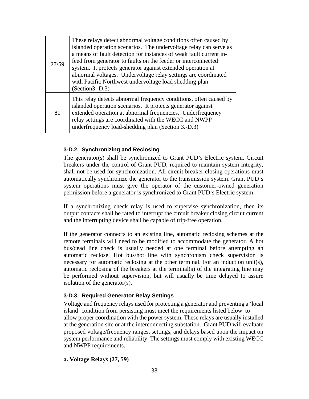| 27/59 | These relays detect abnormal voltage conditions often caused by<br>islanded operation scenarios. The undervoltage relay can serve as<br>a means of fault detection for instances of weak fault current in-<br>feed from generator to faults on the feeder or interconnected<br>system. It protects generator against extended operation at<br>abnormal voltages. Undervoltage relay settings are coordinated<br>with Pacific Northwest undervoltage load shedding plan<br>$(Section3.-D.3)$ |
|-------|---------------------------------------------------------------------------------------------------------------------------------------------------------------------------------------------------------------------------------------------------------------------------------------------------------------------------------------------------------------------------------------------------------------------------------------------------------------------------------------------|
| 81    | This relay detects abnormal frequency conditions, often caused by<br>islanded operation scenarios. It protects generator against<br>extended operation at abnormal frequencies. Underfrequency<br>relay settings are coordinated with the WECC and NWPP<br>underfrequency load-shedding plan (Section 3.-D.3)                                                                                                                                                                               |

#### **3-D.2. Synchronizing and Reclosing**

The generator(s) shall be synchronized to Grant PUD's Electric system. Circuit breakers under the control of Grant PUD, required to maintain system integrity, shall not be used for synchronization. All circuit breaker closing operations must automatically synchronize the generator to the transmission system. Grant PUD's system operations must give the operator of the customer-owned generation permission before a generator is synchronized to Grant PUD's Electric system.

If a synchronizing check relay is used to supervise synchronization, then its output contacts shall be rated to interrupt the circuit breaker closing circuit current and the interrupting device shall be capable of trip-free operation.

If the generator connects to an existing line, automatic reclosing schemes at the remote terminals will need to be modified to accommodate the generator. A hot bus/dead line check is usually needed at one terminal before attempting an automatic reclose. Hot bus/hot line with synchronism check supervision is necessary for automatic reclosing at the other terminal. For an induction unit(s), automatic reclosing of the breakers at the terminal(s) of the integrating line may be performed without supervision, but will usually be time delayed to assure isolation of the generator(s).

#### **3-D.3. Required Generator Relay Settings**

Voltage and frequency relays used for protecting a generator and preventing a 'local island' condition from persisting must meet the requirements listed below to allow proper coordination with the power system. These relays are usually installed at the generation site or at the interconnecting substation. Grant PUD will evaluate proposed voltage/frequency ranges, settings, and delays based upon the impact on system performance and reliability. The settings must comply with existing WECC and NWPP requirements.

#### **a. Voltage Relays (27, 59)**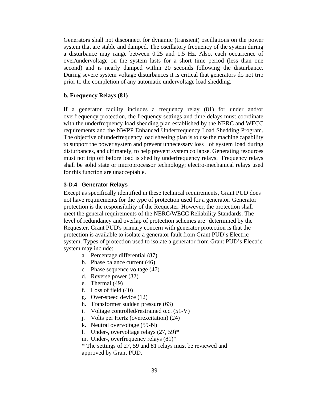Generators shall not disconnect for dynamic (transient) oscillations on the power system that are stable and damped. The oscillatory frequency of the system during a disturbance may range between 0.25 and 1.5 Hz. Also, each occurrence of over/undervoltage on the system lasts for a short time period (less than one second) and is nearly damped within 20 seconds following the disturbance. During severe system voltage disturbances it is critical that generators do not trip prior to the completion of any automatic undervoltage load shedding.

#### **b. Frequency Relays (81)**

If a generator facility includes a frequency relay (81) for under and/or overfrequency protection, the frequency settings and time delays must coordinate with the underfrequency load shedding plan established by the NERC and WECC requirements and the NWPP Enhanced Underfrequency Load Shedding Program. The objective of underfrequency load sheeting plan is to use the machine capability to support the power system and prevent unnecessary loss of system load during disturbances, and ultimately, to help prevent system collapse. Generating resources must not trip off before load is shed by underfrequency relays. Frequency relays shall be solid state or microprocessor technology; electro-mechanical relays used for this function are unacceptable.

#### **3-D.4 Generator Relays**

Except as specifically identified in these technical requirements, Grant PUD does not have requirements for the type of protection used for a generator. Generator protection is the responsibility of the Requester. However, the protection shall meet the general requirements of the NERC/WECC Reliability Standards. The level of redundancy and overlap of protection schemes are determined by the Requester. Grant PUD's primary concern with generator protection is that the protection is available to isolate a generator fault from Grant PUD's Electric system. Types of protection used to isolate a generator from Grant PUD's Electric system may include:

- a. Percentage differential (87)
- b. Phase balance current (46)
- c. Phase sequence voltage (47)
- d. Reverse power (32)
- e. Thermal (49)
- f. Loss of field (40)
- g. Over-speed device (12)
- h. Transformer sudden pressure (63)
- i. Voltage controlled/restrained o.c. (51-V)
- j. Volts per Hertz (overexcitation) (24)
- k. Neutral overvoltage (59-N)
- l. Under-, overvoltage relays (27, 59)\*
- m. Under-, overfrequency relays  $(81)^*$

\* The settings of 27, 59 and 81 relays must be reviewed and approved by Grant PUD.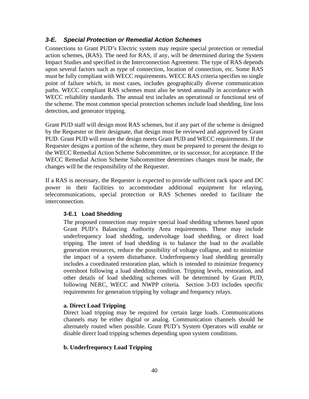## *3-E. Special Protection or Remedial Action Schemes*

Connections to Grant PUD's Electric system may require special protection or remedial action schemes, (RAS). The need for RAS, if any, will be determined during the System Impact Studies and specified in the Interconnection Agreement. The type of RAS depends upon several factors such as type of connection, location of connection, etc. Some RAS must be fully compliant with WECC requirements. WECC RAS criteria specifies no single point of failure which, in most cases, includes geographically diverse communication paths. WECC compliant RAS schemes must also be tested annually in accordance with WECC reliability standards. The annual test includes an operational or functional test of the scheme. The most common special protection schemes include load shedding, line loss detection, and generator tripping.

Grant PUD staff will design most RAS schemes, but if any part of the scheme is designed by the Requester or their designate, that design must be reviewed and approved by Grant PUD. Grant PUD will ensure the design meets Grant PUD and WECC requirements. If the Requester designs a portion of the scheme, they must be prepared to present the design to the WECC Remedial Action Scheme Subcommittee, or its successor, for acceptance. If the WECC Remedial Action Scheme Subcommittee determines changes must be made, the changes will be the responsibility of the Requester.

If a RAS is necessary, the Requester is expected to provide sufficient rack space and DC power in their facilities to accommodate additional equipment for relaying, telecommunications, special protection or RAS Schemes needed to facilitate the interconnection.

#### **3-E.1 Load Shedding**

The proposed connection may require special load shedding schemes based upon Grant PUD's Balancing Authority Area requirements. These may include underfrequency load shedding, undervoltage load shedding, or direct load tripping. The intent of load shedding is to balance the load to the available generation resources, reduce the possibility of voltage collapse, and to minimize the impact of a system disturbance. Underfrequency load shedding generally includes a coordinated restoration plan, which is intended to minimize frequency overshoot following a load shedding condition. Tripping levels, restoration, and other details of load shedding schemes will be determined by Grant PUD, following NERC, WECC and NWPP criteria. Section 3-D3 includes specific requirements for generation tripping by voltage and frequency relays.

#### **a. Direct Load Tripping**

Direct load tripping may be required for certain large loads. Communications channels may be either digital or analog. Communication channels should be alternately routed when possible. Grant PUD's System Operators will enable or disable direct load tripping schemes depending upon system conditions.

#### **b. Underfrequency Load Tripping**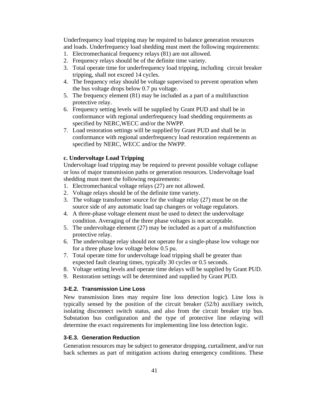Underfrequency load tripping may be required to balance generation resources and loads. Underfrequency load shedding must meet the following requirements:

- 1. Electromechanical frequency relays (81) are not allowed.
- 2. Frequency relays should be of the definite time variety.
- 3. Total operate time for underfrequency load tripping, including circuit breaker tripping, shall not exceed 14 cycles.
- 4. The frequency relay should be voltage supervised to prevent operation when the bus voltage drops below 0.7 pu voltage.
- 5. The frequency element (81) may be included as a part of a multifunction protective relay.
- 6. Frequency setting levels will be supplied by Grant PUD and shall be in conformance with regional underfrequency load shedding requirements as specified by NERC,WECC and/or the NWPP.
- 7. Load restoration settings will be supplied by Grant PUD and shall be in conformance with regional underfrequency load restoration requirements as specified by NERC, WECC and/or the NWPP.

#### **c. Undervoltage Load Tripping**

Undervoltage load tripping may be required to prevent possible voltage collapse or loss of major transmission paths or generation resources. Undervoltage load shedding must meet the following requirements:

- 1. Electromechanical voltage relays (27) are not allowed.
- 2. Voltage relays should be of the definite time variety.
- 3. The voltage transformer source for the voltage relay (27) must be on the source side of any automatic load tap changers or voltage regulators.
- 4. A three-phase voltage element must be used to detect the undervoltage condition. Averaging of the three phase voltages is not acceptable.
- 5. The undervoltage element (27) may be included as a part of a multifunction protective relay.
- 6. The undervoltage relay should not operate for a single-phase low voltage nor for a three phase low voltage below 0.5 pu.
- 7. Total operate time for undervoltage load tripping shall be greater than expected fault clearing times, typically 30 cycles or 0.5 seconds.
- 8. Voltage setting levels and operate time delays will be supplied by Grant PUD.
- 9. Restoration settings will be determined and supplied by Grant PUD.

#### **3-E.2. Transmission Line Loss**

New transmission lines may require line loss detection logic). Line loss is typically sensed by the position of the circuit breaker (52/b) auxiliary switch, isolating disconnect switch status, and also from the circuit breaker trip bus. Substation bus configuration and the type of protective line relaying will determine the exact requirements for implementing line loss detection logic.

#### **3-E.3. Generation Reduction**

Generation resources may be subject to generator dropping, curtailment, and/or run back schemes as part of mitigation actions during emergency conditions. These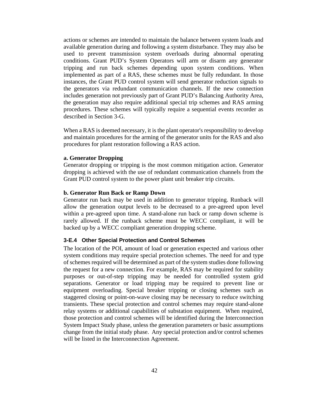actions or schemes are intended to maintain the balance between system loads and available generation during and following a system disturbance. They may also be used to prevent transmission system overloads during abnormal operating conditions. Grant PUD's System Operators will arm or disarm any generator tripping and run back schemes depending upon system conditions. When implemented as part of a RAS, these schemes must be fully redundant. In those instances, the Grant PUD control system will send generator reduction signals to the generators via redundant communication channels. If the new connection includes generation not previously part of Grant PUD's Balancing Authority Area, the generation may also require additional special trip schemes and RAS arming procedures. These schemes will typically require a sequential events recorder as described in Section 3-G.

When a RAS is deemed necessary, it is the plant operator's responsibility to develop and maintain procedures for the arming of the generator units for the RAS and also procedures for plant restoration following a RAS action.

#### **a. Generator Dropping**

Generator dropping or tripping is the most common mitigation action. Generator dropping is achieved with the use of redundant communication channels from the Grant PUD control system to the power plant unit breaker trip circuits.

#### **b. Generator Run Back or Ramp Down**

Generator run back may be used in addition to generator tripping. Runback will allow the generation output levels to be decreased to a pre-agreed upon level within a pre-agreed upon time. A stand-alone run back or ramp down scheme is rarely allowed. If the runback scheme must be WECC compliant, it will be backed up by a WECC compliant generation dropping scheme.

#### **3-E.4 Other Special Protection and Control Schemes**

The location of the POI, amount of load or generation expected and various other system conditions may require special protection schemes. The need for and type of schemes required will be determined as part of the system studies done following the request for a new connection. For example, RAS may be required for stability purposes or out-of-step tripping may be needed for controlled system grid separations. Generator or load tripping may be required to prevent line or equipment overloading. Special breaker tripping or closing schemes such as staggered closing or point-on-wave closing may be necessary to reduce switching transients. These special protection and control schemes may require stand-alone relay systems or additional capabilities of substation equipment. When required, those protection and control schemes will be identified during the Interconnection System Impact Study phase, unless the generation parameters or basic assumptions change from the initial study phase. Any special protection and/or control schemes will be listed in the Interconnection Agreement.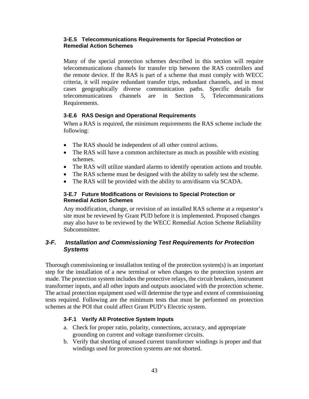#### **3-E.5 Telecommunications Requirements for Special Protection or Remedial Action Schemes**

Many of the special protection schemes described in this section will require telecommunications channels for transfer trip between the RAS controllers and the remote device. If the RAS is part of a scheme that must comply with WECC criteria, it will require redundant transfer trips, redundant channels, and in most cases geographically diverse communication paths. Specific details for telecommunications channels are in Section 5, Telecommunications Requirements.

#### **3-E.6 RAS Design and Operational Requirements**

When a RAS is required, the minimum requirements the RAS scheme include the following:

- The RAS should be independent of all other control actions.
- The RAS will have a common architecture as much as possible with existing schemes.
- The RAS will utilize standard alarms to identify operation actions and trouble.
- The RAS scheme must be designed with the ability to safely test the scheme.
- The RAS will be provided with the ability to arm/disarm via SCADA.

#### **3-E.7 Future Modifications or Revisions to Special Protection or Remedial Action Schemes**

Any modification, change, or revision of an installed RAS scheme at a requestor's site must be reviewed by Grant PUD before it is implemented. Proposed changes may also have to be reviewed by the WECC Remedial Action Scheme Reliability Subcommittee.

## *3-F. Installation and Commissioning Test Requirements for Protection Systems*

Thorough commissioning or installation testing of the protection system(s) is an important step for the installation of a new terminal or when changes to the protection system are made. The protection system includes the protective relays, the circuit breakers, instrument transformer inputs, and all other inputs and outputs associated with the protection scheme. The actual protection equipment used will determine the type and extent of commissioning tests required. Following are the minimum tests that must be performed on protection schemes at the POI that could affect Grant PUD's Electric system.

#### **3-F.1 Verify All Protective System Inputs**

- a. Check for proper ratio, polarity, connections, accuracy, and appropriate grounding on current and voltage transformer circuits.
- b. Verify that shorting of unused current transformer windings is proper and that windings used for protection systems are not shorted.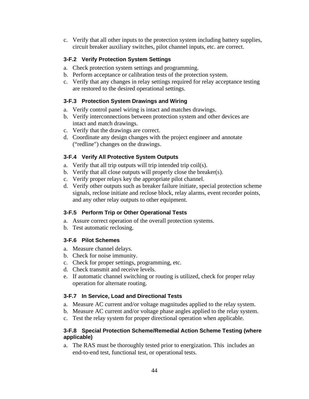c. Verify that all other inputs to the protection system including battery supplies, circuit breaker auxiliary switches, pilot channel inputs, etc. are correct.

## **3-F.2 Verify Protection System Settings**

- a. Check protection system settings and programming.
- b. Perform acceptance or calibration tests of the protection system.
- c. Verify that any changes in relay settings required for relay acceptance testing are restored to the desired operational settings.

#### **3-F.3 Protection System Drawings and Wiring**

- a. Verify control panel wiring is intact and matches drawings.
- b. Verify interconnections between protection system and other devices are intact and match drawings.
- c. Verify that the drawings are correct.
- d. Coordinate any design changes with the project engineer and annotate ("redline") changes on the drawings.

#### **3-F.4 Verify All Protective System Outputs**

- a. Verify that all trip outputs will trip intended trip coil(s).
- b. Verify that all close outputs will properly close the breaker(s).
- c. Verify proper relays key the appropriate pilot channel.
- d. Verify other outputs such as breaker failure initiate, special protection scheme signals, reclose initiate and reclose block, relay alarms, event recorder points, and any other relay outputs to other equipment.

#### **3-F.5 Perform Trip or Other Operational Tests**

- a. Assure correct operation of the overall protection systems.
- b. Test automatic reclosing.

#### **3-F.6 Pilot Schemes**

- a. Measure channel delays.
- b. Check for noise immunity.
- c. Check for proper settings, programming, etc.
- d. Check transmit and receive levels.
- e. If automatic channel switching or routing is utilized, check for proper relay operation for alternate routing.

#### **3-F.7 In Service, Load and Directional Tests**

- a. Measure AC current and/or voltage magnitudes applied to the relay system.
- b. Measure AC current and/or voltage phase angles applied to the relay system.
- c. Test the relay system for proper directional operation when applicable.

#### **3-F.8 Special Protection Scheme/Remedial Action Scheme Testing (where applicable)**

a. The RAS must be thoroughly tested prior to energization. This includes an end-to-end test, functional test, or operational tests.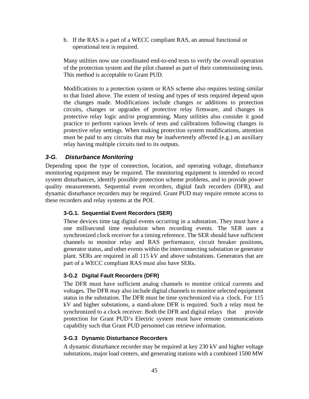b. If the RAS is a part of a WECC compliant RAS, an annual functional or operational test is required.

Many utilities now use coordinated end-to-end tests to verify the overall operation of the protection system and the pilot channel as part of their commissioning tests. This method is acceptable to Grant PUD.

Modifications to a protection system or RAS scheme also requires testing similar to that listed above. The extent of testing and types of tests required depend upon the changes made. Modifications include changes or additions to protection circuits, changes or upgrades of protective relay firmware, and changes in protective relay logic and/or programming. Many utilities also consider it good practice to perform various levels of tests and calibrations following changes in protective relay settings. When making protection system modifications, attention must be paid to any circuits that may be inadvertently affected (e.g.) an auxiliary relay having multiple circuits tied to its outputs.

## *3-G. Disturbance Monitoring*

Depending upon the type of connection, location, and operating voltage, disturbance monitoring equipment may be required. The monitoring equipment is intended to record system disturbances, identify possible protection scheme problems, and to provide power quality measurements. Sequential event recorders, digital fault recorders (DFR), and dynamic disturbance recorders may be required. Grant PUD may require remote access to these recorders and relay systems at the POI.

#### **3-G.1. Sequential Event Recorders (SER)**

These devices time tag digital events occurring in a substation. They must have a one millisecond time resolution when recording events. The SER uses a synchronized clock receiver for a timing reference. The SER should have sufficient channels to monitor relay and RAS performance, circuit breaker positions, generator status, and other events within the interconnecting substation or generator plant. SERs are required in all 115 kV and above substations. Generators that are part of a WECC compliant RAS must also have SERs.

#### **3-G.2 Digital Fault Recorders (DFR)**

The DFR must have sufficient analog channels to monitor critical currents and voltages. The DFR may also include digital channels to monitor selected equipment status in the substation. The DFR must be time synchronized via a clock. For 115 kV and higher substations, a stand-alone DFR is required. Such a relay must be synchronized to a clock receiver. Both the DFR and digital relays that provide protection for Grant PUD's Electric system must have remote communications capability such that Grant PUD personnel can retrieve information.

#### **3-G.3 Dynamic Disturbance Recorders**

A dynamic disturbance recorder may be required at key 230 kV and higher voltage substations, major load centers, and generating stations with a combined 1500 MW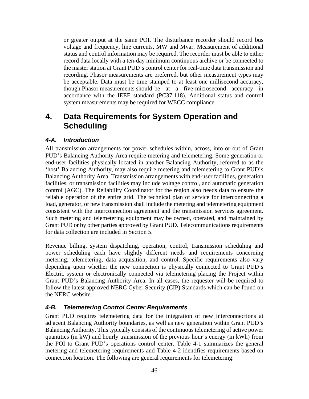or greater output at the same POI. The disturbance recorder should record bus voltage and frequency, line currents, MW and Mvar. Measurement of additional status and control information may be required. The recorder must be able to either record data locally with a ten-day minimum continuous archive or be connected to the master station at Grant PUD's control center for real-time data transmission and recording. Phasor measurements are preferred, but other measurement types may be acceptable. Data must be time stamped to at least one millisecond accuracy, though Phasor measurements should be at a five-microsecond accuracy in accordance with the IEEE standard (PC37.118). Additional status and control system measurements may be required for WECC compliance.

# **4. Data Requirements for System Operation and Scheduling**

## *4-A. Introduction*

All transmission arrangements for power schedules within, across, into or out of Grant PUD's Balancing Authority Area require metering and telemetering. Some generation or end-user facilities physically located in another Balancing Authority, referred to as the 'host' Balancing Authority, may also require metering and telemetering to Grant PUD's Balancing Authority Area. Transmission arrangements with end-user facilities, generation facilities, or transmission facilities may include voltage control, and automatic generation control (AGC). The Reliability Coordinator for the region also needs data to ensure the reliable operation of the entire grid. The technical plan of service for interconnecting a load, generator, or new transmission shall include the metering and telemetering equipment consistent with the interconnection agreement and the transmission services agreement. Such metering and telemetering equipment may be owned, operated, and maintained by Grant PUD or by other parties approved by Grant PUD. Telecommunications requirements for data collection are included in Section 5.

Revenue billing, system dispatching, operation, control, transmission scheduling and power scheduling each have slightly different needs and requirements concerning metering, telemetering, data acquisition, and control. Specific requirements also vary depending upon whether the new connection is physically connected to Grant PUD's Electric system or electronically connected via telemetering placing the Project within Grant PUD's Balancing Authority Area. In all cases, the requester will be required to follow the latest approved NERC Cyber Security (CIP) Standards which can be found on the NERC website.

## *4-B. Telemetering Control Center Requirements*

Grant PUD requires telemetering data for the integration of new interconnections at adjacent Balancing Authority boundaries, as well as new generation within Grant PUD's Balancing Authority. This typically consists of the continuous telemetering of active power quantities (in kW) and hourly transmission of the previous hour's energy (in kWh) from the POI to Grant PUD's operations control center. Table 4-1 summarizes the general metering and telemetering requirements and Table 4-2 identifies requirements based on connection location. The following are general requirements for telemetering: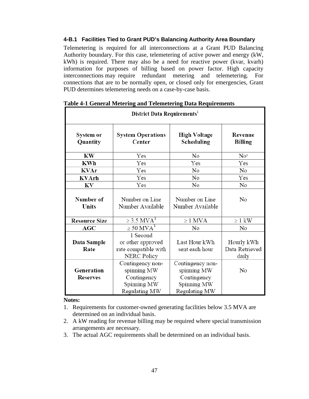#### **4-B.1 Facilities Tied to Grant PUD's Balancing Authority Area Boundary**

Telemetering is required for all interconnections at a Grant PUD Balancing Authority boundary. For this case, telemetering of active power and energy (kW, kWh) is required. There may also be a need for reactive power (kvar, kvarh) information for purposes of billing based on power factor. High capacity interconnections may require redundant metering and telemetering. For connections that are to be normally open, or closed only for emergencies, Grant PUD determines telemetering needs on a case-by-case basis.

| District Data Requirements <sup>1</sup>                                                                                               |                                                                                |                                                                                |                           |  |
|---------------------------------------------------------------------------------------------------------------------------------------|--------------------------------------------------------------------------------|--------------------------------------------------------------------------------|---------------------------|--|
| System or<br>Quantity                                                                                                                 | <b>System Operations</b><br>Center                                             | <b>High Voltage</b><br>Scheduling                                              | Revenue<br><b>Billing</b> |  |
| KW                                                                                                                                    | Yes                                                                            | No                                                                             | No <sup>2</sup>           |  |
| <b>KWh</b>                                                                                                                            | Yes                                                                            | Yes                                                                            | Yes                       |  |
| <b>KVAr</b>                                                                                                                           | Yes                                                                            | No                                                                             | No                        |  |
| <b>KVArh</b>                                                                                                                          | Yes                                                                            | No                                                                             | Yes                       |  |
| KV                                                                                                                                    | Yes                                                                            | No                                                                             | N <sub>o</sub>            |  |
| Number of<br>Units                                                                                                                    | Number on Line<br>Number Available                                             | Number on Line<br>Number Available                                             | No                        |  |
| <b>Resource Size</b>                                                                                                                  | $\geq$ 3.5 MVA <sup>1</sup>                                                    | $\geq 1$ MVA                                                                   | $\geq 1$ kW               |  |
| AGC                                                                                                                                   | $\geq 50$ MVA <sup>3</sup>                                                     | No                                                                             | No                        |  |
| 1 Second<br>Last Hour kWh<br>or other approved<br>Data Sample<br>rate compatible with<br>Rate<br>sent each hour<br><b>NERC Policy</b> |                                                                                | Hourly kWh<br>Data Retrieved<br>daily                                          |                           |  |
| Generation<br><b>Reserves</b>                                                                                                         | Contingency non-<br>spinning MW<br>Contingency<br>Spinning MW<br>Regulating MW | Contingency non-<br>spinning MW<br>Contingency<br>Spinning MW<br>Regulating MW | No                        |  |

#### **Notes:**

- 2. A kW reading for revenue billing may be required where special transmission arrangements are necessary.
- 3. The actual AGC requirements shall be determined on an individual basis.

<sup>1.</sup> Requirements for customer-owned generating facilities below 3.5 MVA are determined on an individual basis.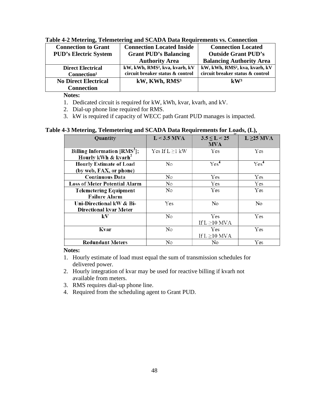| <b>Connection to Grant</b>   | <b>Connection Located Inside</b>           | <b>Connection Located</b>                  |
|------------------------------|--------------------------------------------|--------------------------------------------|
| <b>PUD's Electric System</b> | <b>Grant PUD's Balancing</b>               | <b>Outside Grant PUD's</b>                 |
|                              | <b>Authority Area</b>                      | <b>Balancing Authority Area</b>            |
| <b>Direct Electrical</b>     | kW, kWh, RMS <sup>2</sup> , kva, kvarh, kV | kW, kWh, RMS <sup>2</sup> , kva, kvarh, kV |
| Connection <sup>1</sup>      | circuit breaker status & control           | circuit breaker status & control           |
| <b>No Direct Electrical</b>  | kW, KWh, RMS <sup>3</sup>                  | $\mathbf{kW}^3$                            |
| <b>Connection</b>            |                                            |                                            |

#### **Table 4-2 Metering, Telemetering and SCADA Data Requirements vs. Connection**

**Notes:**

1. Dedicated circuit is required for kW, kWh, kvar, kvarh, and kV.

2. Dial-up phone line required for RMS.

3. kW is required if capacity of WECC path Grant PUD manages is impacted.

#### **Table 4-3 Metering, Telemetering and SCADA Data Requirements for Loads, (L),**

| Quantity                                 | $L < 3.5$ MVA        | $3.5 \le L < 25$  | $L \geq 25$ MVA  |
|------------------------------------------|----------------------|-------------------|------------------|
|                                          |                      | <b>MVA</b>        |                  |
| Billing Information [RMS <sup>3</sup> ]; | Yes If $L \geq 1$ kW | Yes               | Yes              |
| Hourly kWh & kvarh <sup>2</sup>          |                      |                   |                  |
| <b>Hourly Estimate of Load</b>           | No                   | Yes <sup>4</sup>  | Yes <sup>4</sup> |
| (by web, FAX, or phone)                  |                      |                   |                  |
| <b>Continuous Data</b>                   | No                   | Yes               | Yes              |
| <b>Loss of Meter Potential Alarm</b>     | No                   | Yes               | Yes              |
| <b>Telemetering Equipment</b>            | No                   | Yes               | Yes              |
| <b>Failure Alarm</b>                     |                      |                   |                  |
| Uni-Directional kW & Bi-                 | Yes                  | No                | No               |
| <b>Directional kvar Meter</b>            |                      |                   |                  |
| kV                                       | No                   | <b>Yes</b>        | Yes              |
|                                          |                      | If $L \ge 10$ MVA |                  |
| Kvar                                     | No                   | Yes               | Yes              |
|                                          |                      | If $L \ge 10$ MVA |                  |
| <b>Redundant Meters</b>                  | No                   | No                | Yes              |

#### **Notes:**

- 1. Hourly estimate of load must equal the sum of transmission schedules for delivered power.
- 2. Hourly integration of kvar may be used for reactive billing if kvarh not available from meters.
- 3. RMS requires dial-up phone line.
- 4. Required from the scheduling agent to Grant PUD.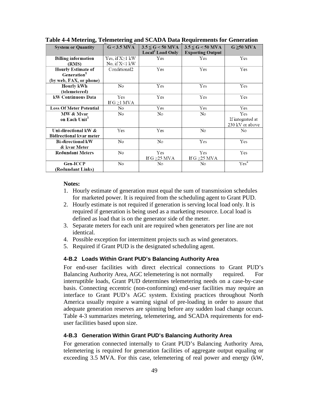| <b>System or Quantity</b>                                     | $G < 3.5$ MVA                            | $3.5 \le G < 50$ MVA<br>Local <sup>2</sup> Load Only | $3.5 \le G < 50$ MVA<br><b>Exporting Output</b> | $G \geq 50$ MVA                            |
|---------------------------------------------------------------|------------------------------------------|------------------------------------------------------|-------------------------------------------------|--------------------------------------------|
| <b>Billing information</b><br>(RMS)                           | Yes, if $X \geq 1$ kW<br>No, if $X<1$ kW | Yes                                                  | Yes                                             | Yes                                        |
| <b>Hourly Estimate of</b><br>Generation <sup>1</sup>          | Conditional <sub>2</sub>                 | Yes                                                  | Yes                                             | Yes                                        |
| (by web, FAX, or phone)<br><b>Hourly kWh</b><br>(telemetered) | No                                       | Yes                                                  | Yes                                             | Yes                                        |
| kW Continuous Data                                            | Yes<br>If $G \geq 1$ MVA                 | Yes                                                  | Yes                                             | Yes                                        |
| <b>Loss Of Meter Potential</b>                                | No                                       | Yes                                                  | Yes                                             | Yes                                        |
| MW & Mvar<br>on Each Unit <sup>3</sup>                        | No                                       | No                                                   | No                                              | Yes<br>If integrated at<br>230 kV or above |
| Uni-directional kW &<br><b>Bidirectional kvar meter</b>       | Yes                                      | Yes                                                  | No                                              | No                                         |
| <b>Bi-directional kW</b><br>& kvar Meter                      | No                                       | No                                                   | Yes                                             | Yes                                        |
| <b>Redundant Meters</b>                                       | No                                       | Yes<br>If G $\geq$ 25 MVA                            | Yes<br>If G $\geq$ 25 MVA                       | Yes                                        |
| Gen-ICCP<br>(Redundant Links)                                 | No                                       | No                                                   | No                                              | Yes <sup>4</sup>                           |

**Table 4-4 Metering, Telemetering and SCADA Data Requirements for Generation**

#### **Notes:**

- 1. Hourly estimate of generation must equal the sum of transmission schedules for marketed power. It is required from the scheduling agent to Grant PUD.
- 2. Hourly estimate is not required if generation is serving local load only. It is required if generation is being used as a marketing resource. Local load is defined as load that is on the generator side of the meter.
- 3. Separate meters for each unit are required when generators per line are not identical.
- 4. Possible exception for intermittent projects such as wind generators.
- 5. Required if Grant PUD is the designated scheduling agent.

#### **4-B.2 Loads Within Grant PUD's Balancing Authority Area**

For end-user facilities with direct electrical connections to Grant PUD's Balancing Authority Area, AGC telemetering is not normally required. For interruptible loads, Grant PUD determines telemetering needs on a case-by-case basis. Connecting eccentric (non-conforming) end-user facilities may require an interface to Grant PUD's AGC system. Existing practices throughout North America usually require a warning signal of pre-loading in order to assure that adequate generation reserves are spinning before any sudden load change occurs. Table 4-3 summarizes metering, telemetering, and SCADA requirements for enduser facilities based upon size.

#### **4-B.3 Generation Within Grant PUD's Balancing Authority Area**

For generation connected internally to Grant PUD's Balancing Authority Area, telemetering is required for generation facilities of aggregate output equaling or exceeding 3.5 MVA. For this case, telemetering of real power and energy (kW,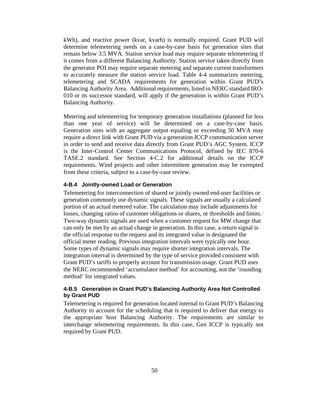kWh), and reactive power (kvar, kvarh) is normally required. Grant PUD will determine telemetering needs on a case-by-case basis for generation sites that remain below 3.5 MVA. Station service load may require separate telemetering if it comes from a different Balancing Authority. Station service taken directly from the generator POI may require separate metering and separate current transformers to accurately measure the station service load. Table 4-4 summarizes metering, telemetering and SCADA requirements for generation within Grant PUD's Balancing Authority Area. Additional requirements, listed in NERC standard IRO-010 or its successor standard, will apply if the generation is within Grant PUD's Balancing Authority.

Metering and telemetering for temporary generation installations (planned for less than one year of service) will be determined on a case-by-case basis. Generation sites with an aggregate output equaling or exceeding 50 MVA may require a direct link with Grant PUD via a generation ICCP communication server in order to send and receive data directly from Grant PUD's AGC System. ICCP is the Inter-Control Center Communications Protocol, defined by IEC 870-6 TASE.2 standard. See Section 4-C.2 for additional details on the ICCP requirements. Wind projects and other intermittent generation may be exempted from these criteria, subject to a case-by-case review.

#### **4-B.4 Jointly-owned Load or Generation**

Telemetering for interconnection of shared or jointly owned end-user facilities or generation commonly use dynamic signals. These signals are usually a calculated portion of an actual metered value. The calculation may include adjustments for losses, changing ratios of customer obligations or shares, or thresholds and limits. Two-way dynamic signals are used when a customer request for MW change that can only be met by an actual change in generation. In this case, a return signal is the official response to the request and its integrated value is designated the official meter reading. Previous integration intervals were typically one hour. Some types of dynamic signals may require shorter integration intervals. The integration interval is determined by the type of service provided consistent with Grant PUD's tariffs to properly account for transmission usage. Grant PUD uses the NERC recommended 'accumulator method' for accounting, not the 'rounding method' for integrated values.

#### **4-B.5 Generation in Grant PUD's Balancing Authority Area Not Controlled by Grant PUD**

Telemetering is required for generation located internal to Grant PUD's Balancing Authority to account for the scheduling that is required to deliver that energy to the appropriate host Balancing Authority. The requirements are similar to interchange telemetering requirements. In this case, Gen ICCP is typically not required by Grant PUD.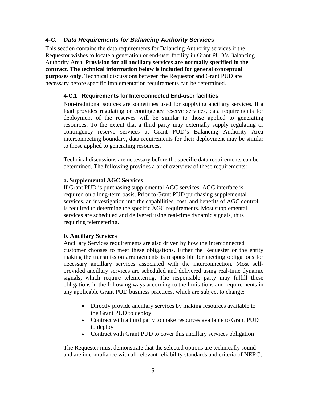## *4-C. Data Requirements for Balancing Authority Services*

This section contains the data requirements for Balancing Authority services if the Requestor wishes to locate a generation or end-user facility in Grant PUD's Balancing Authority Area. **Provision for all ancillary services are normally specified in the contract. The technical information below is included for general conceptual purposes only.** Technical discussions between the Requestor and Grant PUD are necessary before specific implementation requirements can be determined.

#### **4-C.1 Requirements for Interconnected End-user facilities**

Non-traditional sources are sometimes used for supplying ancillary services. If a load provides regulating or contingency reserve services, data requirements for deployment of the reserves will be similar to those applied to generating resources. To the extent that a third party may externally supply regulating or contingency reserve services at Grant PUD's Balancing Authority Area interconnecting boundary, data requirements for their deployment may be similar to those applied to generating resources.

Technical discussions are necessary before the specific data requirements can be determined. The following provides a brief overview of these requirements:

#### **a. Supplemental AGC Services**

If Grant PUD is purchasing supplemental AGC services, AGC interface is required on a long-term basis. Prior to Grant PUD purchasing supplemental services, an investigation into the capabilities, cost, and benefits of AGC control is required to determine the specific AGC requirements. Most supplemental services are scheduled and delivered using real-time dynamic signals, thus requiring telemetering.

#### **b. Ancillary Services**

Ancillary Services requirements are also driven by how the interconnected customer chooses to meet these obligations. Either the Requester or the entity making the transmission arrangements is responsible for meeting obligations for necessary ancillary services associated with the interconnection. Most selfprovided ancillary services are scheduled and delivered using real-time dynamic signals, which require telemetering. The responsible party may fulfill these obligations in the following ways according to the limitations and requirements in any applicable Grant PUD business practices, which are subject to change:

- Directly provide ancillary services by making resources available to the Grant PUD to deploy
- Contract with a third party to make resources available to Grant PUD to deploy
- Contract with Grant PUD to cover this ancillary services obligation

The Requester must demonstrate that the selected options are technically sound and are in compliance with all relevant reliability standards and criteria of NERC,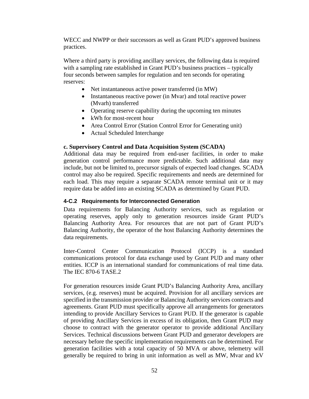WECC and NWPP or their successors as well as Grant PUD's approved business practices.

Where a third party is providing ancillary services, the following data is required with a sampling rate established in Grant PUD's business practices – typically four seconds between samples for regulation and ten seconds for operating reserves:

- Net instantaneous active power transferred (in MW)
- Instantaneous reactive power (in Mvar) and total reactive power (Mvarh) transferred
- Operating reserve capability during the upcoming ten minutes
- kWh for most-recent hour
- Area Control Error (Station Control Error for Generating unit)
- Actual Scheduled Interchange

#### **c. Supervisory Control and Data Acquisition System (SCADA)**

Additional data may be required from end-user facilities, in order to make generation control performance more predictable. Such additional data may include, but not be limited to, precursor signals of expected load changes. SCADA control may also be required. Specific requirements and needs are determined for each load. This may require a separate SCADA remote terminal unit or it may require data be added into an existing SCADA as determined by Grant PUD.

#### **4-C.2 Requirements for Interconnected Generation**

Data requirements for Balancing Authority services, such as regulation or operating reserves, apply only to generation resources inside Grant PUD's Balancing Authority Area. For resources that are not part of Grant PUD's Balancing Authority, the operator of the host Balancing Authority determines the data requirements.

Inter-Control Center Communication Protocol (ICCP) is a standard communications protocol for data exchange used by Grant PUD and many other entities. ICCP is an international standard for communications of real time data. The IEC 870-6 TASE.2

For generation resources inside Grant PUD's Balancing Authority Area, ancillary services, (e.g. reserves) must be acquired. Provision for all ancillary services are specified in the transmission provider or Balancing Authority services contracts and agreements. Grant PUD must specifically approve all arrangements for generators intending to provide Ancillary Services to Grant PUD. If the generator is capable of providing Ancillary Services in excess of its obligation, then Grant PUD may choose to contract with the generator operator to provide additional Ancillary Services. Technical discussions between Grant PUD and generator developers are necessary before the specific implementation requirements can be determined. For generation facilities with a total capacity of 50 MVA or above, telemetry will generally be required to bring in unit information as well as MW, Mvar and kV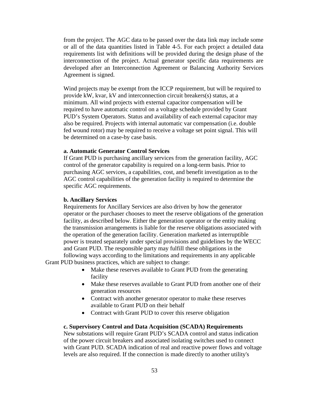from the project. The AGC data to be passed over the data link may include some or all of the data quantities listed in Table 4-5. For each project a detailed data requirements list with definitions will be provided during the design phase of the interconnection of the project. Actual generator specific data requirements are developed after an Interconnection Agreement or Balancing Authority Services Agreement is signed.

Wind projects may be exempt from the ICCP requirement, but will be required to provide kW, kvar, kV and interconnection circuit breakers(s) status, at a minimum. All wind projects with external capacitor compensation will be required to have automatic control on a voltage schedule provided by Grant PUD's System Operators. Status and availability of each external capacitor may also be required. Projects with internal automatic var compensation (i.e. double fed wound rotor) may be required to receive a voltage set point signal. This will be determined on a case-by case basis.

#### **a. Automatic Generator Control Services**

If Grant PUD is purchasing ancillary services from the generation facility, AGC control of the generator capability is required on a long-term basis. Prior to purchasing AGC services, a capabilities, cost, and benefit investigation as to the AGC control capabilities of the generation facility is required to determine the specific AGC requirements.

#### **b. Ancillary Services**

Requirements for Ancillary Services are also driven by how the generator operator or the purchaser chooses to meet the reserve obligations of the generation facility, as described below. Either the generation operator or the entity making the transmission arrangements is liable for the reserve obligations associated with the operation of the generation facility. Generation marketed as interruptible power is treated separately under special provisions and guidelines by the WECC and Grant PUD. The responsible party may fulfill these obligations in the following ways according to the limitations and requirements in any applicable

Grant PUD business practices, which are subject to change:

- Make these reserves available to Grant PUD from the generating facility
- Make these reserves available to Grant PUD from another one of their generation resources
- Contract with another generator operator to make these reserves available to Grant PUD on their behalf
- Contract with Grant PUD to cover this reserve obligation

#### **c. Supervisory Control and Data Acquisition (SCADA) Requirements**

New substations will require Grant PUD's SCADA control and status indication of the power circuit breakers and associated isolating switches used to connect with Grant PUD. SCADA indication of real and reactive power flows and voltage levels are also required. If the connection is made directly to another utility's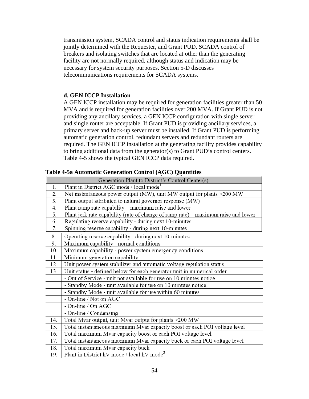transmission system, SCADA control and status indication requirements shall be jointly determined with the Requester, and Grant PUD. SCADA control of breakers and isolating switches that are located at other than the generating facility are not normally required, although status and indication may be necessary for system security purposes. Section 5-D discusses telecommunications requirements for SCADA systems.

#### **d. GEN ICCP Installation**

A GEN ICCP installation may be required for generation facilities greater than 50 MVA and is required for generation facilities over 200 MVA. If Grant PUD is not providing any ancillary services, a GEN ICCP configuration with single server and single router are acceptable. If Grant PUD is providing ancillary services, a primary server and back-up server must be installed. If Grant PUD is performing automatic generation control, redundant servers and redundant routers are required. The GEN ICCP installation at the generating facility provides capability to bring additional data from the generator(s) to Grant PUD's control centers. Table 4-5 shows the typical GEN ICCP data required.

|     | Generation Plant to District's Control Center(s):                                  |
|-----|------------------------------------------------------------------------------------|
| 1.  | Plant in District AGC mode / local mode <sup>1</sup>                               |
| 2.  | Net instantaneous power output (MW), unit MW output for plants >200 MW             |
| 3.  | Plant output attributed to natural governor response (MW)                          |
| 4.  | Plant ramp rate capability - maximum raise and lower                               |
| 5.  | Plant jerk rate capability (rate of change of ramp rate) - maximum raise and lower |
| 6.  | Regulating reserve capability - during next 10-minutes                             |
| 7.  | Spinning reserve capability - during next 10-minutes                               |
| 8.  | Operating reserve capability - during next 10-minutes                              |
| 9.  | Maximum capability - normal conditions                                             |
| 10. | Maximum capability - power system emergency conditions                             |
| 11. | Minimum generation capability                                                      |
| 12. | Unit power system stabilizer and automatic voltage regulation status               |
| 13. | Unit status - defined below for each generator unit in numerical order.            |
|     | - Out of Service - unit not available for use on 10 minutes notice.                |
|     | - Standby Mode - unit available for use on 10 minutes notice.                      |
|     | - Standby Mode - unit available for use within 60 minutes                          |
|     | - On-line / Not on AGC                                                             |
|     | - On-line / On AGC                                                                 |
|     | - On-line / Condensing                                                             |
| 14. | Total Mvar output, unit Mvar output for plants >200 MW                             |
| 15. | Total instantaneous maximum Mvar capacity boost or each POI voltage level          |
| 16. | Total maximum Mvar capacity boost or each POI voltage level                        |
| 17. | Total instantaneous maximum Mvar capacity buck or each POI voltage level           |
| 18. | Total maximum Mvar capacity buck                                                   |
| 19. | Plant in District kV mode / local kV mode <sup>2</sup>                             |

**Table 4-5a Automatic Generation Control (AGC) Quantities**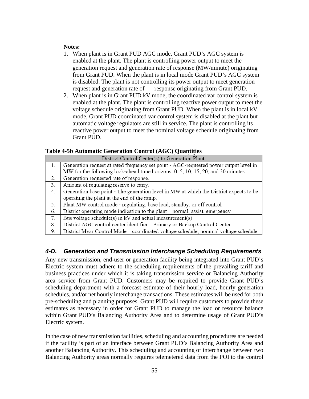#### **Notes:**

- 1. When plant is in Grant PUD AGC mode, Grant PUD's AGC system is enabled at the plant. The plant is controlling power output to meet the generation request and generation rate of response (MW/minute) originating from Grant PUD. When the plant is in local mode Grant PUD's AGC system is disabled. The plant is not controlling its power output to meet generation request and generation rate of response originating from Grant PUD.
- 2. When plant is in Grant PUD kV mode, the coordinated var control system is enabled at the plant. The plant is controlling reactive power output to meet the voltage schedule originating from Grant PUD. When the plant is in local kV mode, Grant PUD coordinated var control system is disabled at the plant but automatic voltage regulators are still in service. The plant is controlling its reactive power output to meet the nominal voltage schedule originating from Grant PUD.

**Table 4-5b Automatic Generation Control (AGC) Quantities**

|    | District Control Center(s) to Generation Plant:                                        |
|----|----------------------------------------------------------------------------------------|
| 1. | Generation request at rated frequency set point - AGC-requested power output level in  |
|    | MW for the following look-ahead time horizons: 0, 5, 10, 15, 20, and 30 minutes.       |
| 2. | Generation requested rate of response.                                                 |
| 3. | Amount of regulating reserve to carry.                                                 |
| 4. | Generation base point - The generation level in MW at which the District expects to be |
|    | operating the plant at the end of the ramp.                                            |
| 5. | Plant MW control mode - regulating, base load, standby, or off control                 |
| 6. | District operating mode indication to the plant – normal, assist, emergency            |
| 7. | Bus voltage schedule(s) in $kV$ and actual measurement(s)                              |
| 8. | District AGC control center identifier – Primary or Backup Control Center              |
| 9. | District Myar Control Mode – coordinated voltage schedule, nominal voltage schedule    |

## *4-D. Generation and Transmission Interchange Scheduling Requirements*

Any new transmission, end-user or generation facility being integrated into Grant PUD's Electric system must adhere to the scheduling requirements of the prevailing tariff and business practices under which it is taking transmission service or Balancing Authority area service from Grant PUD. Customers may be required to provide Grant PUD's scheduling department with a forecast estimate of their hourly load, hourly generation schedules, and/or net hourly interchange transactions. These estimates will be used for both pre-scheduling and planning purposes. Grant PUD will require customers to provide these estimates as necessary in order for Grant PUD to manage the load or resource balance within Grant PUD's Balancing Authority Area and to determine usage of Grant PUD's Electric system.

In the case of new transmission facilities, scheduling and accounting procedures are needed if the facility is part of an interface between Grant PUD's Balancing Authority Area and another Balancing Authority. This scheduling and accounting of interchange between two Balancing Authority areas normally requires telemetered data from the POI to the control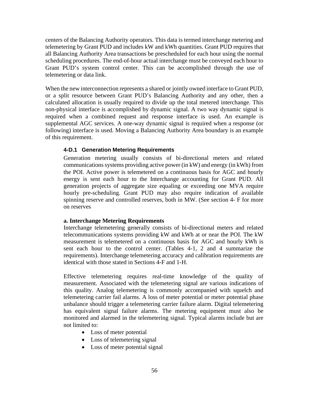centers of the Balancing Authority operators. This data is termed interchange metering and telemetering by Grant PUD and includes kW and kWh quantities. Grant PUD requires that all Balancing Authority Area transactions be prescheduled for each hour using the normal scheduling procedures. The end-of-hour actual interchange must be conveyed each hour to Grant PUD's system control center. This can be accomplished through the use of telemetering or data link.

When the new interconnection represents a shared or jointly owned interface to Grant PUD, or a split resource between Grant PUD's Balancing Authority and any other, then a calculated allocation is usually required to divide up the total metered interchange. This non-physical interface is accomplished by dynamic signal. A two way dynamic signal is required when a combined request and response interface is used. An example is supplemental AGC services. A one-way dynamic signal is required when a response (or following) interface is used. Moving a Balancing Authority Area boundary is an example of this requirement.

#### **4-D.1 Generation Metering Requirements**

Generation metering usually consists of bi-directional meters and related communications systems providing active power (in kW) and energy (in kWh) from the POI. Active power is telemetered on a continuous basis for AGC and hourly energy is sent each hour to the Interchange accounting for Grant PUD. All generation projects of aggregate size equaling or exceeding one MVA require hourly pre-scheduling. Grant PUD may also require indication of available spinning reserve and controlled reserves, both in MW. (See section 4- F for more on reserves

#### **a. Interchange Metering Requirements**

Interchange telemetering generally consists of bi-directional meters and related telecommunications systems providing kW and kWh at or near the POI. The kW measurement is telemetered on a continuous basis for AGC and hourly kWh is sent each hour to the control center. (Tables 4-1, 2 and 4 summarize the requirements). Interchange telemetering accuracy and calibration requirements are identical with those stated in Sections 4-F and 1-H.

Effective telemetering requires real-time knowledge of the quality of measurement. Associated with the telemetering signal are various indications of this quality. Analog telemetering is commonly accompanied with squelch and telemetering carrier fail alarms. A loss of meter potential or meter potential phase unbalance should trigger a telemetering carrier failure alarm. Digital telemetering has equivalent signal failure alarms. The metering equipment must also be monitored and alarmed in the telemetering signal. Typical alarms include but are not limited to:

- Loss of meter potential
- Loss of telemetering signal
- Loss of meter potential signal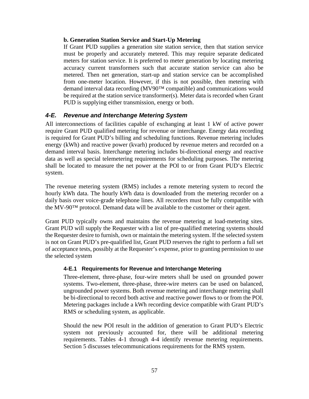#### **b. Generation Station Service and Start-Up Metering**

If Grant PUD supplies a generation site station service, then that station service must be properly and accurately metered. This may require separate dedicated meters for station service. It is preferred to meter generation by locating metering accuracy current transformers such that accurate station service can also be metered. Then net generation, start-up and station service can be accomplished from one-meter location. However, if this is not possible, then metering with demand interval data recording (MV90™ compatible) and communications would be required at the station service transformer(s). Meter data is recorded when Grant PUD is supplying either transmission, energy or both.

## *4-E. Revenue and Interchange Metering System*

All interconnections of facilities capable of exchanging at least 1 kW of active power require Grant PUD qualified metering for revenue or interchange. Energy data recording is required for Grant PUD's billing and scheduling functions. Revenue metering includes energy (kWh) and reactive power (kvarh) produced by revenue meters and recorded on a demand interval basis. Interchange metering includes bi-directional energy and reactive data as well as special telemetering requirements for scheduling purposes. The metering shall be located to measure the net power at the POI to or from Grant PUD's Electric system.

The revenue metering system (RMS) includes a remote metering system to record the hourly kWh data. The hourly kWh data is downloaded from the metering recorder on a daily basis over voice-grade telephone lines. All recorders must be fully compatible with the MV-90™ protocol. Demand data will be available to the customer or their agent.

Grant PUD typically owns and maintains the revenue metering at load-metering sites. Grant PUD will supply the Requester with a list of pre-qualified metering systems should the Requester desire to furnish, own or maintain the metering system. If the selected system is not on Grant PUD's pre-qualified list, Grant PUD reserves the right to perform a full set of acceptance tests, possibly at the Requester's expense, prior to granting permission to use the selected system

#### **4-E.1 Requirements for Revenue and Interchange Metering**

Three-element, three-phase, four-wire meters shall be used on grounded power systems. Two-element, three-phase, three-wire meters can be used on balanced, ungrounded power systems. Both revenue metering and interchange metering shall be bi-directional to record both active and reactive power flows to or from the POI. Metering packages include a kWh recording device compatible with Grant PUD's RMS or scheduling system, as applicable.

Should the new POI result in the addition of generation to Grant PUD's Electric system not previously accounted for, there will be additional metering requirements. Tables 4-1 through 4-4 identify revenue metering requirements. Section 5 discusses telecommunications requirements for the RMS system.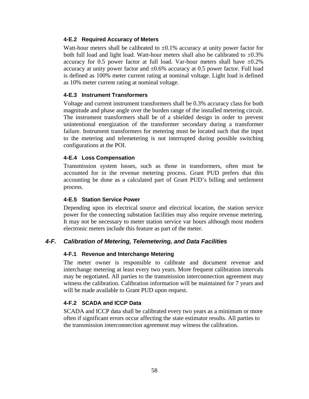#### **4-E.2 Required Accuracy of Meters**

Watt-hour meters shall be calibrated to  $\pm 0.1\%$  accuracy at unity power factor for both full load and light load. Watt-hour meters shall also be calibrated to  $\pm 0.3\%$ accuracy for 0.5 power factor at full load. Var-hour meters shall have  $\pm 0.2\%$ accuracy at unity power factor and  $\pm 0.6\%$  accuracy at 0.5 power factor. Full load is defined as 100% meter current rating at nominal voltage. Light load is defined as 10% meter current rating at nominal voltage.

#### **4-E.3 Instrument Transformers**

Voltage and current instrument transformers shall be 0.3% accuracy class for both magnitude and phase angle over the burden range of the installed metering circuit. The instrument transformers shall be of a shielded design in order to prevent unintentional energization of the transformer secondary during a transformer failure. Instrument transformers for metering must be located such that the input to the metering and telemetering is not interrupted during possible switching configurations at the POI.

#### **4-E.4 Loss Compensation**

Transmission system losses, such as those in transformers, often must be accounted for in the revenue metering process. Grant PUD prefers that this accounting be done as a calculated part of Grant PUD's billing and settlement process.

#### **4-E.5 Station Service Power**

Depending upon its electrical source and electrical location, the station service power for the connecting substation facilities may also require revenue metering. It may not be necessary to meter station service var hours although most modern electronic meters include this feature as part of the meter.

#### *4-F. Calibration of Metering, Telemetering, and Data Facilities*

#### **4-F.1 Revenue and Interchange Metering**

The meter owner is responsible to calibrate and document revenue and interchange metering at least every two years. More frequent calibration intervals may be negotiated. All parties to the transmission interconnection agreement may witness the calibration. Calibration information will be maintained for 7 years and will be made available to Grant PUD upon request.

#### **4-F.2 SCADA and ICCP Data**

SCADA and ICCP data shall be calibrated every two years as a minimum or more often if significant errors occur affecting the state estimator results. All parties to the transmission interconnection agreement may witness the calibration.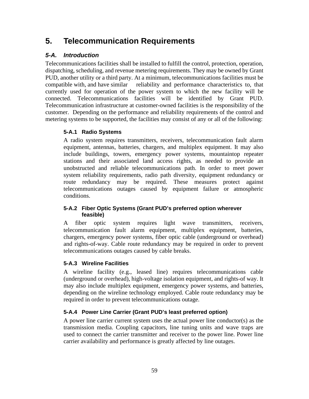# **5. Telecommunication Requirements**

## *5-A. Introduction*

Telecommunications facilities shall be installed to fulfill the control, protection, operation, dispatching, scheduling, and revenue metering requirements. They may be owned by Grant PUD, another utility or a third party. At a minimum, telecommunications facilities must be compatible with, and have similar reliability and performance characteristics to, that currently used for operation of the power system to which the new facility will be connected. Telecommunications facilities will be identified by Grant PUD. Telecommunication infrastructure at customer-owned facilities is the responsibility of the customer. Depending on the performance and reliability requirements of the control and metering systems to be supported, the facilities may consist of any or all of the following:

## **5-A.1 Radio Systems**

A radio system requires transmitters, receivers, telecommunication fault alarm equipment, antennas, batteries, chargers, and multiplex equipment. It may also include buildings, towers, emergency power systems, mountaintop repeater stations and their associated land access rights, as needed to provide an unobstructed and reliable telecommunications path. In order to meet power system reliability requirements, radio path diversity, equipment redundancy or route redundancy may be required. These measures protect against telecommunications outages caused by equipment failure or atmospheric conditions.

#### **5-A.2 Fiber Optic Systems (Grant PUD's preferred option wherever feasible)**

A fiber optic system requires light wave transmitters, receivers, telecommunication fault alarm equipment, multiplex equipment, batteries, chargers, emergency power systems, fiber optic cable (underground or overhead) and rights-of-way. Cable route redundancy may be required in order to prevent telecommunications outages caused by cable breaks.

#### **5-A.3 Wireline Facilities**

A wireline facility (e.g., leased line) requires telecommunications cable (underground or overhead), high-voltage isolation equipment, and rights-of way. It may also include multiplex equipment, emergency power systems, and batteries, depending on the wireline technology employed. Cable route redundancy may be required in order to prevent telecommunications outage.

#### **5-A.4 Power Line Carrier (Grant PUD's least preferred option)**

A power line carrier current system uses the actual power line conductor(s) as the transmission media. Coupling capacitors, line tuning units and wave traps are used to connect the carrier transmitter and receiver to the power line. Power line carrier availability and performance is greatly affected by line outages.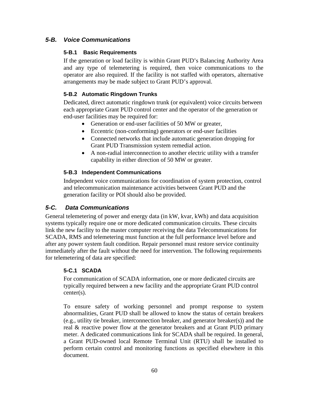## *5-B. Voice Communications*

#### **5-B.1 Basic Requirements**

If the generation or load facility is within Grant PUD's Balancing Authority Area and any type of telemetering is required, then voice communications to the operator are also required. If the facility is not staffed with operators, alternative arrangements may be made subject to Grant PUD's approval.

#### **5-B.2 Automatic Ringdown Trunks**

Dedicated, direct automatic ringdown trunk (or equivalent) voice circuits between each appropriate Grant PUD control center and the operator of the generation or end-user facilities may be required for:

- Generation or end-user facilities of 50 MW or greater,
- Eccentric (non-conforming) generators or end-user facilities
- Connected networks that include automatic generation dropping for Grant PUD Transmission system remedial action.
- A non-radial interconnection to another electric utility with a transfer capability in either direction of 50 MW or greater.

#### **5-B.3 Independent Communications**

Independent voice communications for coordination of system protection, control and telecommunication maintenance activities between Grant PUD and the generation facility or POI should also be provided.

## *5-C. Data Communications*

General telemetering of power and energy data (in kW, kvar, kWh) and data acquisition systems typically require one or more dedicated communication circuits. These circuits link the new facility to the master computer receiving the data Telecommunications for SCADA, RMS and telemetering must function at the full performance level before and after any power system fault condition. Repair personnel must restore service continuity immediately after the fault without the need for intervention. The following requirements for telemetering of data are specified:

#### **5-C.1 SCADA**

For communication of SCADA information, one or more dedicated circuits are typically required between a new facility and the appropriate Grant PUD control center(s).

To ensure safety of working personnel and prompt response to system abnormalities, Grant PUD shall be allowed to know the status of certain breakers (e.g., utility tie breaker, interconnection breaker, and generator breaker(s)) and the real & reactive power flow at the generator breakers and at Grant PUD primary meter. A dedicated communications link for SCADA shall be required. In general, a Grant PUD-owned local Remote Terminal Unit (RTU) shall be installed to perform certain control and monitoring functions as specified elsewhere in this document.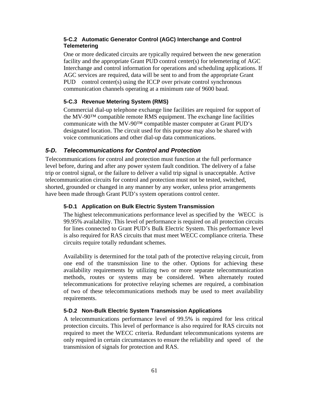#### **5-C.2 Automatic Generator Control (AGC) Interchange and Control Telemetering**

One or more dedicated circuits are typically required between the new generation facility and the appropriate Grant PUD control center(s) for telemetering of AGC Interchange and control information for operations and scheduling applications. If AGC services are required, data will be sent to and from the appropriate Grant PUD control center(s) using the ICCP over private control synchronous communication channels operating at a minimum rate of 9600 baud.

#### **5-C.3 Revenue Metering System (RMS)**

Commercial dial-up telephone exchange line facilities are required for support of the MV-90™ compatible remote RMS equipment. The exchange line facilities communicate with the MV-90™ compatible master computer at Grant PUD's designated location. The circuit used for this purpose may also be shared with voice communications and other dial-up data communications.

## *5-D. Telecommunications for Control and Protection*

Telecommunications for control and protection must function at the full performance level before, during and after any power system fault condition. The delivery of a false trip or control signal, or the failure to deliver a valid trip signal is unacceptable. Active telecommunication circuits for control and protection must not be tested, switched, shorted, grounded or changed in any manner by any worker, unless prior arrangements have been made through Grant PUD's system operations control center.

#### **5-D.1 Application on Bulk Electric System Transmission**

The highest telecommunications performance level as specified by the WECC is 99.95% availability. This level of performance is required on all protection circuits for lines connected to Grant PUD's Bulk Electric System. This performance level is also required for RAS circuits that must meet WECC compliance criteria. These circuits require totally redundant schemes.

Availability is determined for the total path of the protective relaying circuit, from one end of the transmission line to the other. Options for achieving these availability requirements by utilizing two or more separate telecommunication methods, routes or systems may be considered. When alternately routed telecommunications for protective relaying schemes are required, a combination of two of these telecommunications methods may be used to meet availability requirements.

#### **5-D.2 Non-Bulk Electric System Transmission Applications**

A telecommunications performance level of 99.5% is required for less critical protection circuits. This level of performance is also required for RAS circuits not required to meet the WECC criteria. Redundant telecommunications systems are only required in certain circumstances to ensure the reliability and speed of the transmission of signals for protection and RAS.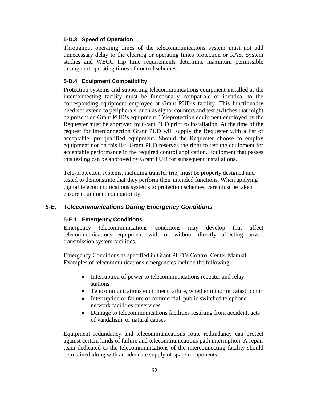#### **5-D.3 Speed of Operation**

Throughput operating times of the telecommunications system must not add unnecessary delay to the clearing or operating times protection or RAS. System studies and WECC trip time requirements determine maximum permissible throughput operating times of control schemes.

#### **5-D.4 Equipment Compatibility**

Protection systems and supporting telecommunications equipment installed at the interconnecting facility must be functionally compatible or identical to the corresponding equipment employed at Grant PUD's facility. This functionality need not extend to peripherals, such as signal counters and test switches that might be present on Grant PUD's equipment. Teleprotection equipment employed by the Requester must be approved by Grant PUD prior to installation. At the time of the request for interconnection Grant PUD will supply the Requester with a list of acceptable, pre-qualified equipment. Should the Requester choose to employ equipment not on this list, Grant PUD reserves the right to test the equipment for acceptable performance in the required control application. Equipment that passes this testing can be approved by Grant PUD for subsequent installations.

Tele-protection systems, including transfer trip, must be properly designed and tested to demonstrate that they perform their intended functions. When applying digital telecommunications systems to protection schemes, care must be taken ensure equipment compatibility

#### *5-E. Telecommunications During Emergency Conditions*

#### **5-E.1 Emergency Conditions**

Emergency telecommunications conditions may develop that affect telecommunications equipment with or without directly affecting power transmission system facilities.

Emergency Conditions as specified in Grant PUD's Control Center Manual. Examples of telecommunications emergencies include the following:

- Interruption of power to telecommunications repeater and relay stations
- Telecommunications equipment failure, whether minor or catastrophic
- Interruption or failure of commercial, public switched telephone network facilities or services
- Damage to telecommunications facilities resulting from accident, acts of vandalism, or natural causes

Equipment redundancy and telecommunications route redundancy can protect against certain kinds of failure and telecommunications path interruption. A repair team dedicated to the telecommunications of the interconnecting facility should be retained along with an adequate supply of spare components.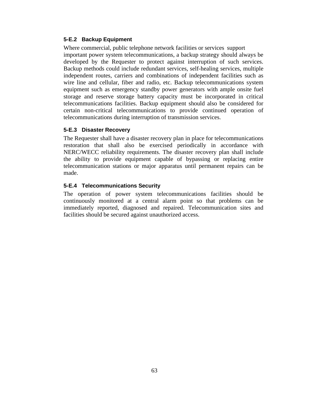#### **5-E.2 Backup Equipment**

Where commercial, public telephone network facilities or services support important power system telecommunications, a backup strategy should always be developed by the Requester to protect against interruption of such services. Backup methods could include redundant services, self-healing services, multiple independent routes, carriers and combinations of independent facilities such as wire line and cellular, fiber and radio, etc. Backup telecommunications system equipment such as emergency standby power generators with ample onsite fuel storage and reserve storage battery capacity must be incorporated in critical telecommunications facilities. Backup equipment should also be considered for certain non-critical telecommunications to provide continued operation of telecommunications during interruption of transmission services.

#### **5-E.3 Disaster Recovery**

The Requester shall have a disaster recovery plan in place for telecommunications restoration that shall also be exercised periodically in accordance with NERC/WECC reliability requirements. The disaster recovery plan shall include the ability to provide equipment capable of bypassing or replacing entire telecommunication stations or major apparatus until permanent repairs can be made.

#### **5-E.4 Telecommunications Security**

The operation of power system telecommunications facilities should be continuously monitored at a central alarm point so that problems can be immediately reported, diagnosed and repaired. Telecommunication sites and facilities should be secured against unauthorized access.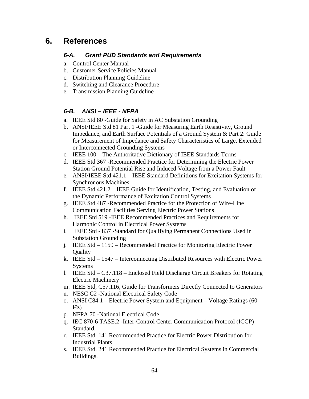# **6. References**

## *6-A. Grant PUD Standards and Requirements*

- a. Control Center Manual
- b. Customer Service Policies Manual
- c. Distribution Planning Guideline
- d. Switching and Clearance Procedure
- e. Transmission Planning Guideline

## *6-B. ANSI – IEEE - NFPA*

- a. IEEE Std 80 -Guide for Safety in AC Substation Grounding
- b. ANSI/IEEE Std 81 Part 1 -Guide for Measuring Earth Resistivity, Ground Impedance, and Earth Surface Potentials of a Ground System & Part 2: Guide for Measurement of Impedance and Safety Characteristics of Large, Extended or Interconnected Grounding Systems
- c. IEEE 100 The Authoritative Dictionary of IEEE Standards Terms
- d. IEEE Std 367 -Recommended Practice for Determining the Electric Power Station Ground Potential Rise and Induced Voltage from a Power Fault
- e. ANSI/IEEE Std 421.1 IEEE Standard Definitions for Excitation Systems for Synchronous Machines
- f. IEEE Std 421.2 IEEE Guide for Identification, Testing, and Evaluation of the Dynamic Performance of Excitation Control Systems
- g. IEEE Std 487 -Recommended Practice for the Protection of Wire-Line Communication Facilities Serving Electric Power Stations
- h. IEEE Std 519 -IEEE Recommended Practices and Requirements for Harmonic Control in Electrical Power Systems
- i. IEEE Std 837 -Standard for Qualifying Permanent Connections Used in Substation Grounding
- j. IEEE Std 1159 Recommended Practice for Monitoring Electric Power **Quality**
- k. IEEE Std 1547 Interconnecting Distributed Resources with Electric Power Systems
- l. IEEE Std C37.118 Enclosed Field Discharge Circuit Breakers for Rotating Electric Machinery
- m. IEEE Std, C57.116, Guide for Transformers Directly Connected to Generators
- n. NESC C2 -National Electrical Safety Code
- o. ANSI C84.1 Electric Power System and Equipment Voltage Ratings (60 Hz)
- p. NFPA 70 -National Electrical Code
- q. IEC 870-6 TASE.2 -Inter-Control Center Communication Protocol (ICCP) Standard.
- r. IEEE Std. 141 Recommended Practice for Electric Power Distribution for Industrial Plants.
- s. IEEE Std. 241 Recommended Practice for Electrical Systems in Commercial Buildings.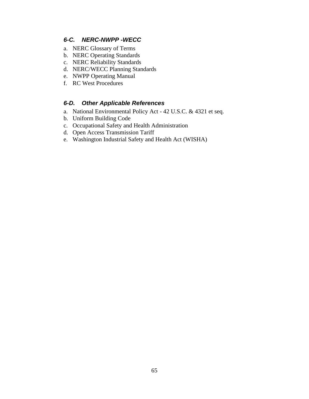## *6-C. NERC-NWPP -WECC*

- a. NERC Glossary of Terms
- b. NERC Operating Standards
- c. NERC Reliability Standards
- d. NERC/WECC Planning Standards
- e. NWPP Operating Manual
- f. RC West Procedures

#### *6-D. Other Applicable References*

- a. National Environmental Policy Act 42 U.S.C. & 4321 et seq.
- b. Uniform Building Code
- c. Occupational Safety and Health Administration
- d. Open Access Transmission Tariff
- e. Washington Industrial Safety and Health Act (WISHA)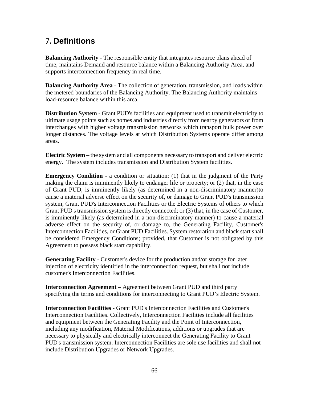# **7. Definitions**

**Balancing Authority** - The responsible entity that integrates resource plans ahead of time, maintains Demand and resource balance within a Balancing Authority Area, and supports interconnection frequency in real time.

**Balancing Authority Area** - The collection of generation, transmission, and loads within the metered boundaries of the Balancing Authority. The Balancing Authority maintains load-resource balance within this area.

**Distribution System** - Grant PUD's facilities and equipment used to transmit electricity to ultimate usage points such as homes and industries directly from nearby generators or from interchanges with higher voltage transmission networks which transport bulk power over longer distances. The voltage levels at which Distribution Systems operate differ among areas.

**Electric System** – the system and all components necessary to transport and deliver electric energy. The system includes transmission and Distribution System facilities.

**Emergency Condition** - a condition or situation: (1) that in the judgment of the Party making the claim is imminently likely to endanger life or property; or (2) that, in the case of Grant PUD, is imminently likely (as determined in a non-discriminatory manner)to cause a material adverse effect on the security of, or damage to Grant PUD's transmission system, Grant PUD's Interconnection Facilities or the Electric Systems of others to which Grant PUD's transmission system is directly connected; or (3) that, in the case of Customer, is imminently likely (as determined in a non-discriminatory manner) to cause a material adverse effect on the security of, or damage to, the Generating Facility, Customer's Interconnection Facilities, or Grant PUD Facilities. System restoration and black start shall be considered Emergency Conditions; provided, that Customer is not obligated by this Agreement to possess black start capability.

**Generating Facility** - Customer's device for the production and/or storage for later injection of electricity identified in the interconnection request, but shall not include customer's Interconnection Facilities.

**Interconnection Agreement –** Agreement between Grant PUD and third party specifying the terms and conditions for interconnecting to Grant PUD's Electric System.

**Interconnection Facilities** - Grant PUD's Interconnection Facilities and Customer's Interconnection Facilities. Collectively, Interconnection Facilities include all facilities and equipment between the Generating Facility and the Point of Interconnection, including any modification, Material Modifications, additions or upgrades that are necessary to physically and electrically interconnect the Generating Facility to Grant PUD's transmission system. Interconnection Facilities are sole use facilities and shall not include Distribution Upgrades or Network Upgrades.